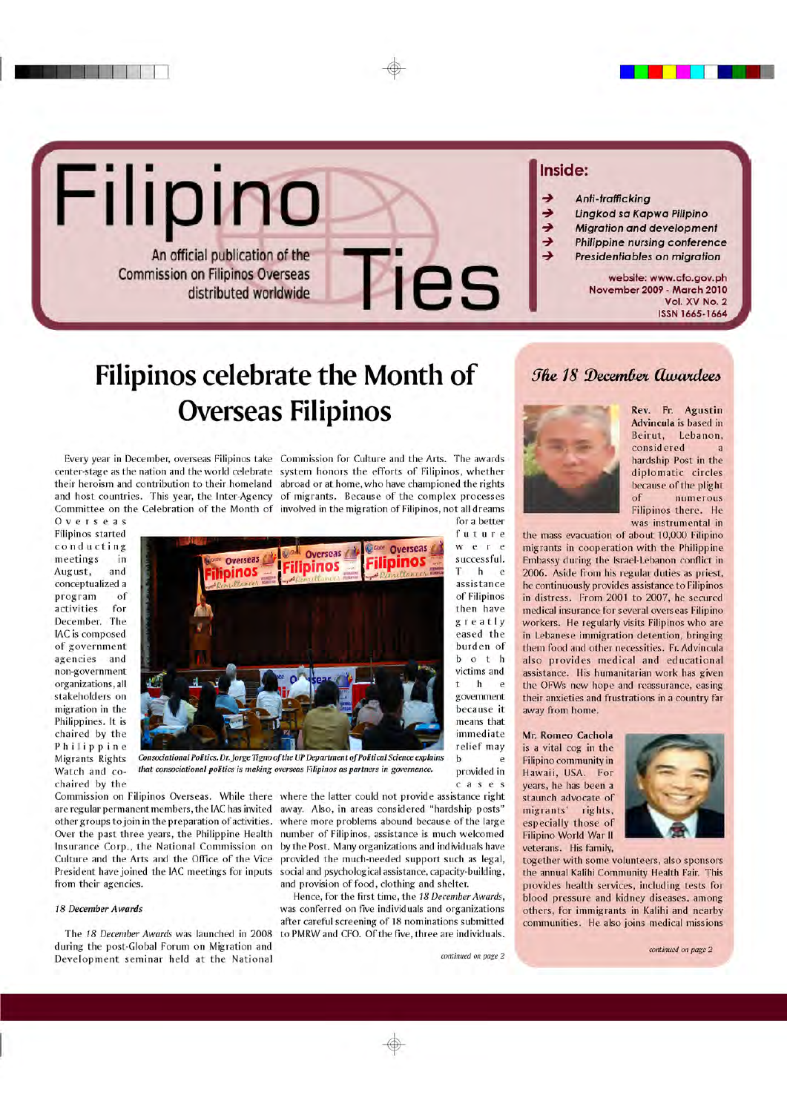

## Filipinos celebrate the Month of **Overseas Filipinos**

Every year in December, overseas Filipinos take Commission for Culture and the Arts. The awards center-stage as the nation and the world celebrate system honors the efforts of Filipinos, whether their heroism and contribution to their homeland abroad or at home, who have championed the rights and host countries. This year, the Inter-Agency of migrants. Because of the complex processes Committee on the Celebration of the Month of involved in the migration of Filipinos, not all dreams

Overseas Filipinos started conducting meetings in August, and conceptualized a program of activities for December. The IAC is composed of government agencies and non-government organizations, all stakeholders on migration in the Philippines. It is chaired by the Philippine Migrants Rights Watch and cochaired by the



that consociational politics is making overseas Filipinos as partners in governance.

Commission on Filipinos Overseas. While there where the latter could not provide assistance right other groups to join in the preparation of activities. Over the past three years, the Philippine Health Insurance Corp., the National Commission on Culture and the Arts and the Office of the Vice President have joined the IAC meetings for inputs from their agencies.

#### 18 December Awards

The 18 December Awards was launched in 2008 during the post-Global Forum on Migration and Development seminar held at the National

are regular permanent members, the IAC has invited away. Also, in areas considered "hardship posts" where more problems abound because of the large number of Filipinos, assistance is much welcomed by the Post. Many organizations and individuals have provided the much-needed support such as legal, social and psychological assistance, capacity-building, and provision of food, clothing and shelter.

> Hence, for the first time, the 18 December Awards, was conferred on five individuals and organizations after careful screening of 18 nominations submitted to PMRW and CFO. Of the five, three are individuals.

for a better

future

were

successful.

assistance

of Filipinos

then have

greatly

eased the

burden of

 $b \circ t$   $h$ 

victims and

 $\mathbf{h}$  $\mathbf{t}$ 

government

because it

means that

immediate

relief may

provided in

cases

 $\mathbf b$ 

e

e

e

T. h

### The 18 December Awardees



Rev. Fr. Agustin Advincula is based in Beirut, Lebanon, considered hardship Post in the diplomatic circles because of the plight of numerous Filipinos there. He was instrumental in

the mass evacuation of about 10,000 Filipino migrants in cooperation with the Philippine Embassy during the Israel-Lebanon conflict in 2006. Aside from his regular duties as priest, he continuously provides assistance to Filipinos in distress. From 2001 to 2007, he secured medical insurance for several overseas Filipino workers. He regularly visits Filipinos who are in Lebanese immigration detention, bringing them food and other necessities. Fr. Advincula also provides medical and educational assistance. His humanitarian work has given the OFWs new hope and reassurance, easing their anxieties and frustrations in a country far away from home.

Mr. Romeo Cachola is a vital cog in the Filipino community in Hawaii, USA. For years, he has been a staunch advocate of migrants' rights, especially those of Filipino World War II veterans. His family,



together with some volunteers, also sponsors the annual Kalihi Community Health Fair. This provides health services, including tests for blood pressure and kidney diseases, among others, for immigrants in Kalihi and nearby communities. He also joins medical missions

#### continued on page 2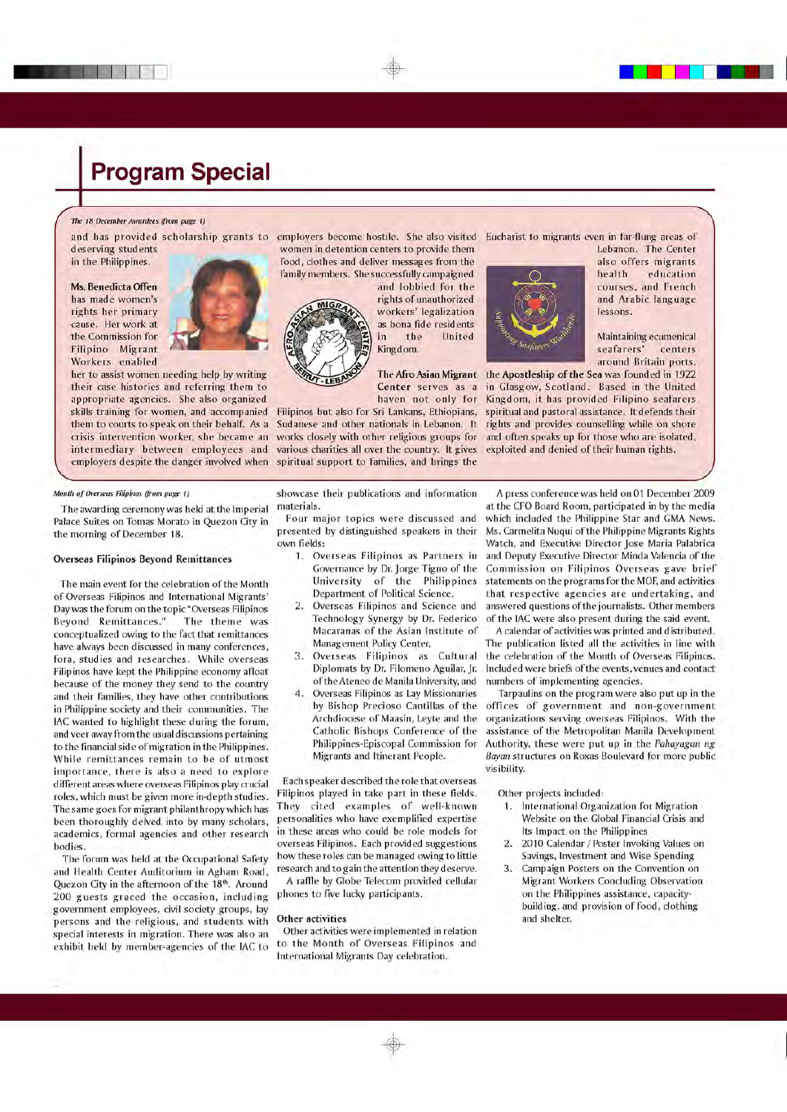#### The 18 December Awardees (from page 1)

deserving students in the Philippines.

Ms. Benedicta Offen has made women's rights her primary cause. Her work at the Commission for Filipino Migrant Workers enabled



her to assist women needing help by writing their case histories and referring them to appropriate agencies. She also organized skills training for women, and accompanied them to courts to speak on their behalf. As a crisis intervention worker, she became an intermediary between employees and employers despite the danger involved when

and has provided scholarship grants to employers become hostile. She also visited Eucharist to migrants even in far-flung areas of women in detention centers to provide them

the

**Hnited** 

food, clothes and deliver messages from the family members. She successfully campaigned

and lobbied for the rights of unauthorized workers' legalization as bona fide residents in Kingdom.

various charities all over the country. It gives exploited and denied of their human rights. spiritual support to families, and brings the



Lebanon. The Center also offers migrants health education courses, and French and Arabic language lessons.

Maintaining ecumenical seafarers' centers around Britain ports.

The Afro Asian Migrant the Apostleship of the Sea was founded in 1922 Center serves as a in Glasgow, Scotland. Based in the United haven not only for Kingdom, it has provided Filipino seafarers Filipinos but also for Sri Lankans, Ethiopians, spiritual and pastoral assistance, It defends their Sudanese and other nationals in Lebanon. It rights and provides counselling while on shore works closely with other religious groups for and often speaks up for those who are isolated,

#### Month of Overseas Filipinos (from page 1)

The awarding ceremony was held at the Imperial Palace Suites on Tomas Morato in Quezon City in the morning of December 18.

#### **Overseas Filipinos Beyond Remittances**

The main event for the celebration of the Month of Overseas Filipinos and International Migrants' Day was the forum on the topic "Overseas Filipinos Beyond Remittances." The theme was conceptualized owing to the fact that remittances have always been discussed in many conferences, fora, studies and researches. While overseas Filipinos have kept the Philippine economy afloat because of the money they send to the country and their families, they have other contributions in Philippine society and their communities. The IAC wanted to highlight these during the forum, and veer away from the usual discussions pertaining to the financial side of migration in the Philippines. While remittances remain to be of utmost importance, there is also a need to explore different areas where overseas Filipinos play crucial roles, which must be given more in-depth studies. The same goes for migrant philanthropy which has been thoroughly delved into by many scholars, academics, formal agencies and other research bodies.

The forum was held at the Occupational Safety and Health Center Auditorium in Agham Road, Quezon City in the afternoon of the 18th. Around 200 guests graced the occasion, including government employees, civil society groups, lay persons and the religious, and students with special interests in migration. There was also an exhibit held by member-agencies of the IAC to

showcase their publications and information materials.

Four major topics were discussed and presented by distinguished speakers in their own fields:

- 1. Overseas Filipinos as Partners in Governance by Dr. Jorge Tigno of the University of the Philippines Department of Political Science,
- $2.$ Overseas Filipinos and Science and Technology Synergy by Dr. Federico Macaranas of the Asian Institute of Management Policy Center,
- 3. Overseas Filipinos as Cultural Diplomats by Dr. Filomeno Aguilar, Jr. of the Ateneo de Manila University, and
- 4. Overseas Filipinos as Lay Missionaries by Bishop Precioso Cantillas of the Archdiocese of Maasin, Leyte and the Catholic Bishops Conference of the Philippines-Episcopal Commission for Migrants and Itinerant People.

Each speaker described the role that overseas Filipinos played in take part in these fields. They cited examples of well-known personalities who have exemplified expertise in these areas who could be role models for overseas Filipinos. Each provided suggestions how these roles can be managed owing to little research and to gain the attention they deserve. A raffle by Globe Telecom provided cellular phones to five lucky participants.

### Other activities

Other activities were implemented in relation to the Month of Overseas Filipinos and International Migrants Day celebration.

A press conference was held on 01 December 2009 at the CFO Board Room, participated in by the media which included the Philippine Star and GMA News. Ms. Carmelita Nugui of the Philippine Migrants Rights Watch, and Executive Director Jose Maria Palabrica and Deputy Executive Director Minda Valencia of the Commission on Filipinos Overseas gave brief statements on the programs for the MOF, and activities that respective agencies are undertaking, and answered questions of the journalists. Other members of the IAC were also present during the said event.

A calendar of activities was printed and distributed. The publication listed all the activities in line with the celebration of the Month of Overseas Filipinos. Included were briefs of the events, venues and contact numbers of implementing agencies.

Tarpaulins on the program were also put up in the offices of government and non-government organizations serving overseas Filipinos. With the assistance of the Metropolitan Manila Development Authority, these were put up in the Pahayagan ng Bayan structures on Roxas Boulevard for more public visibility.

Other projects included:

- 1. International Organization for Migration Website on the Global Financial Crisis and Its Impact on the Philippines
- $2.$ 2010 Calendar / Poster Invoking Values on Savings, Investment and Wise Spending
- Campaign Posters on the Convention on  $3.$ Migrant Workers Concluding Observation on the Philippines assistance, capacitybuilding, and provision of food, clothing and shelter.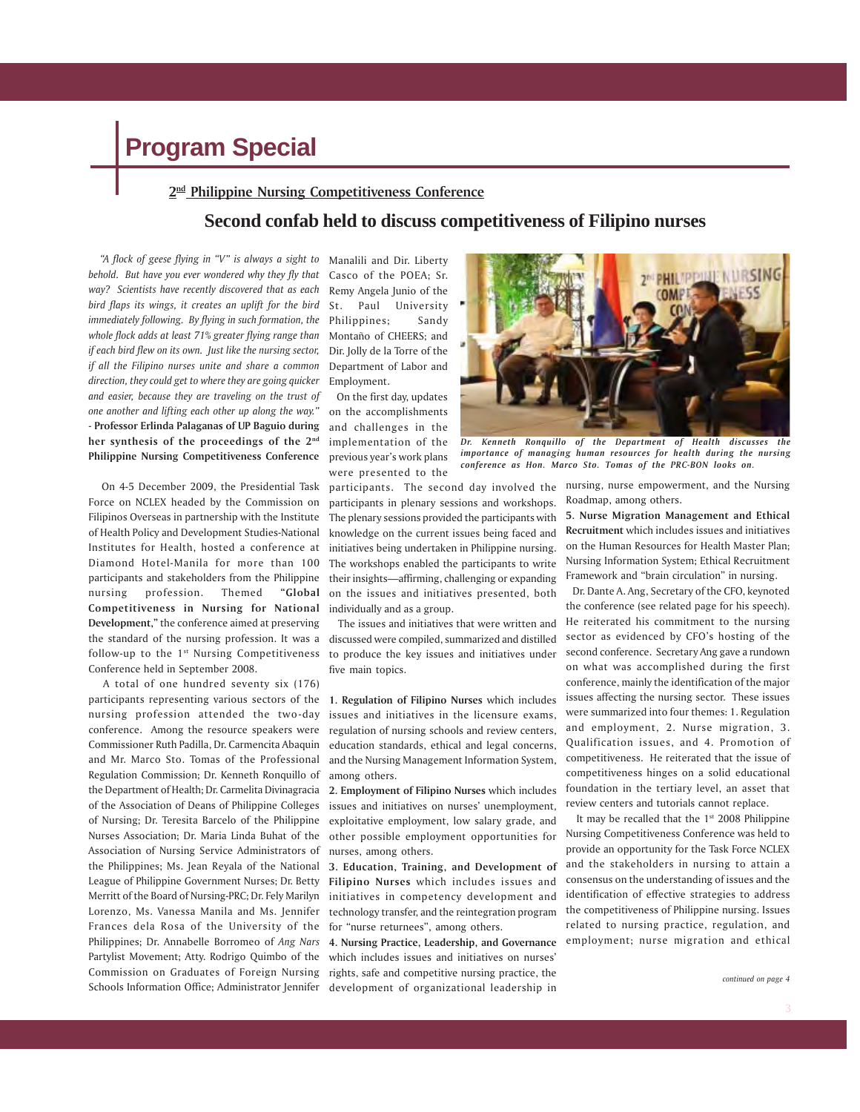#### **2nd Philippine Nursing Competitiveness Conference**

### **Second confab held to discuss competitiveness of Filipino nurses**

 *"A flock of geese flying in "V" is always a sight to* Manalili and Dir. Liberty *behold. But have you ever wondered why they fly that way? Scientists have recently discovered that as each bird flaps its wings, it creates an uplift for the bird immediately following. By flying in such formation, the whole flock adds at least 71% greater flying range than if each bird flew on its own. Just like the nursing sector, if all the Filipino nurses unite and share a common direction, they could get to where they are going quicker and easier, because they are traveling on the trust of one another and lifting each other up along the way."* - **Professor Erlinda Palaganas of UP Baguio during her synthesis of the proceedings of the 2nd Philippine Nursing Competitiveness Conference**

 On 4-5 December 2009, the Presidential Task Force on NCLEX headed by the Commission on Filipinos Overseas in partnership with the Institute of Health Policy and Development Studies-National Institutes for Health, hosted a conference at Diamond Hotel-Manila for more than 100 participants and stakeholders from the Philippine nursing profession. Themed **"Global Competitiveness in Nursing for National Development,"** the conference aimed at preserving the standard of the nursing profession. It was a follow-up to the 1<sup>st</sup> Nursing Competitiveness Conference held in September 2008.

 A total of one hundred seventy six (176) participants representing various sectors of the nursing profession attended the two-day conference. Among the resource speakers were Commissioner Ruth Padilla, Dr. Carmencita Abaquin and Mr. Marco Sto. Tomas of the Professional Regulation Commission; Dr. Kenneth Ronquillo of the Department of Health; Dr. Carmelita Divinagracia of the Association of Deans of Philippine Colleges of Nursing; Dr. Teresita Barcelo of the Philippine Nurses Association; Dr. Maria Linda Buhat of the Association of Nursing Service Administrators of the Philippines; Ms. Jean Reyala of the National League of Philippine Government Nurses; Dr. Betty Merritt of the Board of Nursing-PRC; Dr. Fely Marilyn Lorenzo, Ms. Vanessa Manila and Ms. Jennifer Frances dela Rosa of the University of the Philippines; Dr. Annabelle Borromeo of *Ang Nars* Partylist Movement; Atty. Rodrigo Quimbo of the Commission on Graduates of Foreign Nursing Schools Information Office; Administrator Jennifer development of organizational leadership in

Casco of the POEA; Sr. Remy Angela Junio of the St. Paul University Philippines; Sandy Montaño of CHEERS; and Dir. Jolly de la Torre of the Department of Labor and Employment.

 On the first day, updates on the accomplishments and challenges in the implementation of the previous year's work plans were presented to the

participants in plenary sessions and workshops. The plenary sessions provided the participants with knowledge on the current issues being faced and initiatives being undertaken in Philippine nursing. The workshops enabled the participants to write their insights—affirming, challenging or expanding on the issues and initiatives presented, both individually and as a group.

 The issues and initiatives that were written and discussed were compiled, summarized and distilled to produce the key issues and initiatives under five main topics.

**1. Regulation of Filipino Nurses** which includes issues and initiatives in the licensure exams, regulation of nursing schools and review centers, education standards, ethical and legal concerns, and the Nursing Management Information System, among others.

**2. Employment of Filipino Nurses** which includes issues and initiatives on nurses' unemployment, exploitative employment, low salary grade, and other possible employment opportunities for nurses, among others.

**3. Education, Training, and Development of Filipino Nurses** which includes issues and initiatives in competency development and technology transfer, and the reintegration program for "nurse returnees", among others.

**4. Nursing Practice, Leadership, and Governance** which includes issues and initiatives on nurses' rights, safe and competitive nursing practice, the



*Dr. Kenneth Ronquillo of the Department of Health discusses the importance of managing human resources for health during the nursing conference as Hon. Marco Sto. Tomas of the PRC-BON looks on.*

participants. The second day involved the nursing, nurse empowerment, and the Nursing Roadmap, among others.

> **5. Nurse Migration Management and Ethical Recruitment** which includes issues and initiatives on the Human Resources for Health Master Plan; Nursing Information System; Ethical Recruitment Framework and "brain circulation" in nursing.

> Dr. Dante A. Ang, Secretary of the CFO, keynoted the conference (see related page for his speech). He reiterated his commitment to the nursing sector as evidenced by CFO's hosting of the second conference. Secretary Ang gave a rundown on what was accomplished during the first conference, mainly the identification of the major issues affecting the nursing sector. These issues were summarized into four themes: 1. Regulation and employment, 2. Nurse migration, 3. Qualification issues, and 4. Promotion of competitiveness. He reiterated that the issue of competitiveness hinges on a solid educational foundation in the tertiary level, an asset that review centers and tutorials cannot replace.

> It may be recalled that the 1<sup>st</sup> 2008 Philippine Nursing Competitiveness Conference was held to provide an opportunity for the Task Force NCLEX and the stakeholders in nursing to attain a consensus on the understanding of issues and the identification of effective strategies to address the competitiveness of Philippine nursing. Issues related to nursing practice, regulation, and employment; nurse migration and ethical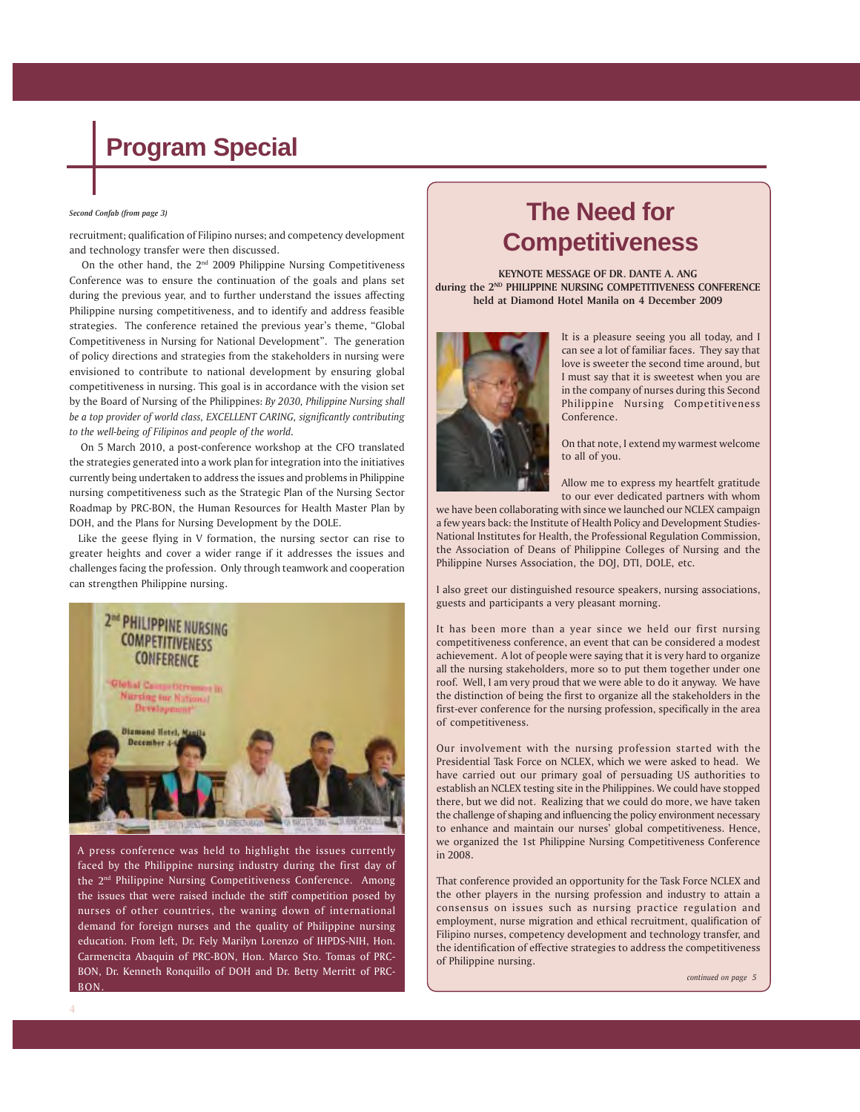#### *Second Confab (from page 3)*

**Competitive recruitment; qualification of Filipino nurses; and competency development** and technology transfer were then discussed.

On the other hand, the  $2<sup>nd</sup>$  2009 Philippine Nursing Competitiveness Conference was to ensure the continuation of the goals and plans set during the previous year, and to further understand the issues affecting Philippine nursing competitiveness, and to identify and address feasible strategies. The conference retained the previous year's theme, "Global Competitiveness in Nursing for National Development". The generation of policy directions and strategies from the stakeholders in nursing were envisioned to contribute to national development by ensuring global competitiveness in nursing. This goal is in accordance with the vision set by the Board of Nursing of the Philippines: *By 2030, Philippine Nursing shall be a top provider of world class, EXCELLENT CARING, significantly contributing to the well-being of Filipinos and people of the world.*

 On 5 March 2010, a post-conference workshop at the CFO translated the strategies generated into a work plan for integration into the initiatives currently being undertaken to address the issues and problems in Philippine nursing competitiveness such as the Strategic Plan of the Nursing Sector Roadmap by PRC-BON, the Human Resources for Health Master Plan by DOH, and the Plans for Nursing Development by the DOLE.

 Like the geese flying in V formation, the nursing sector can rise to greater heights and cover a wider range if it addresses the issues and challenges facing the profession. Only through teamwork and cooperation can strengthen Philippine nursing.



A press conference was held to highlight the issues currently faced by the Philippine nursing industry during the first day of the 2<sup>nd</sup> Philippine Nursing Competitiveness Conference. Among the issues that were raised include the stiff competition posed by nurses of other countries, the waning down of international demand for foreign nurses and the quality of Philippine nursing education. From left, Dr. Fely Marilyn Lorenzo of IHPDS-NIH, Hon. Carmencita Abaquin of PRC-BON, Hon. Marco Sto. Tomas of PRC-BON, Dr. Kenneth Ronquillo of DOH and Dr. Betty Merritt of PRC-BON.

# **The Need for**

**KEYNOTE MESSAGE OF DR. DANTE A. ANG during the 2ND PHILIPPINE NURSING COMPETITIVENESS CONFERENCE held at Diamond Hotel Manila on 4 December 2009**



It is a pleasure seeing you all today, and I can see a lot of familiar faces. They say that love is sweeter the second time around, but I must say that it is sweetest when you are in the company of nurses during this Second Philippine Nursing Competitiveness Conference.

On that note, I extend my warmest welcome to all of you.

Allow me to express my heartfelt gratitude to our ever dedicated partners with whom

we have been collaborating with since we launched our NCLEX campaign a few years back: the Institute of Health Policy and Development Studies-National Institutes for Health, the Professional Regulation Commission, the Association of Deans of Philippine Colleges of Nursing and the Philippine Nurses Association, the DOJ, DTI, DOLE, etc.

I also greet our distinguished resource speakers, nursing associations, guests and participants a very pleasant morning.

It has been more than a year since we held our first nursing competitiveness conference, an event that can be considered a modest achievement. A lot of people were saying that it is very hard to organize all the nursing stakeholders, more so to put them together under one roof. Well, I am very proud that we were able to do it anyway. We have the distinction of being the first to organize all the stakeholders in the first-ever conference for the nursing profession, specifically in the area of competitiveness.

Our involvement with the nursing profession started with the Presidential Task Force on NCLEX, which we were asked to head. We have carried out our primary goal of persuading US authorities to establish an NCLEX testing site in the Philippines. We could have stopped there, but we did not. Realizing that we could do more, we have taken the challenge of shaping and influencing the policy environment necessary to enhance and maintain our nurses' global competitiveness. Hence, we organized the 1st Philippine Nursing Competitiveness Conference in 2008.

That conference provided an opportunity for the Task Force NCLEX and the other players in the nursing profession and industry to attain a consensus on issues such as nursing practice regulation and employment, nurse migration and ethical recruitment, qualification of Filipino nurses, competency development and technology transfer, and the identification of effective strategies to address the competitiveness of Philippine nursing.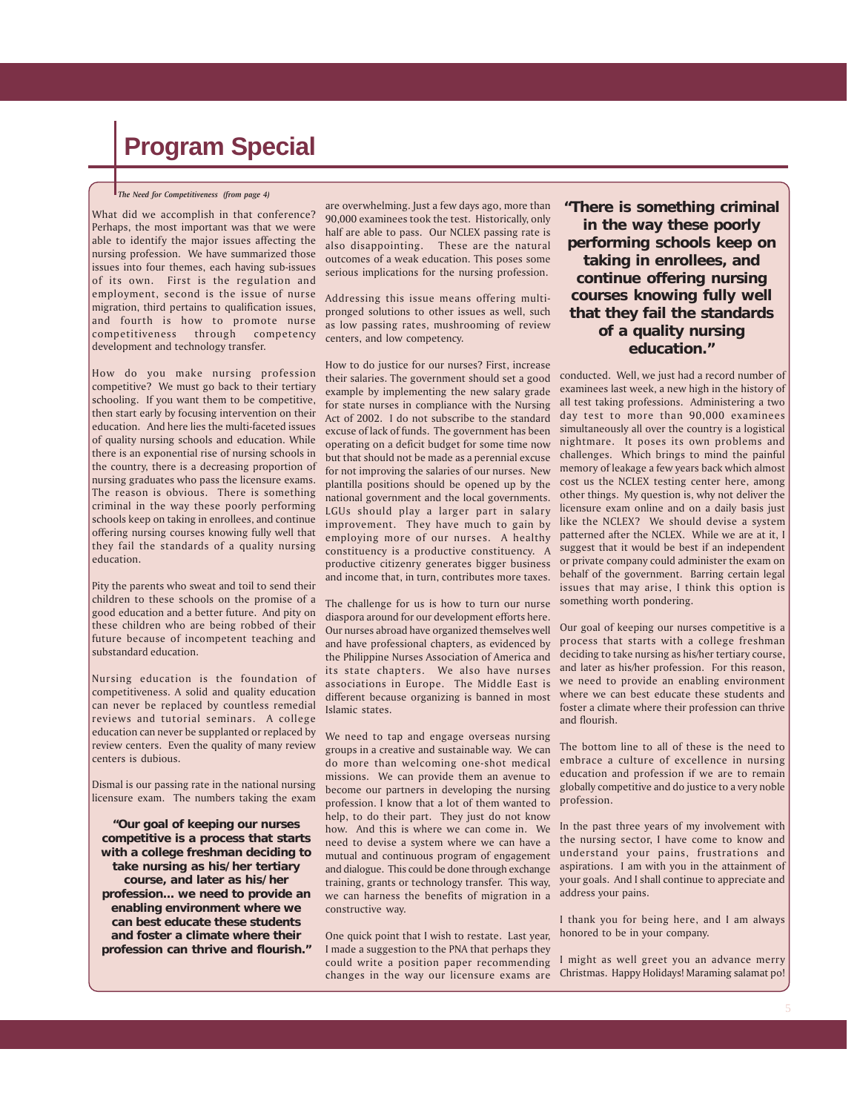#### *The Need for Competitiveness (from page 4)*

What did we accomplish in that conference? Perhaps, the most important was that we were able to identify the major issues affecting the nursing profession. We have summarized those issues into four themes, each having sub-issues of its own. First is the regulation and employment, second is the issue of nurse migration, third pertains to qualification issues, and fourth is how to promote nurse competitiveness through competency development and technology transfer.

How do you make nursing profession competitive? We must go back to their tertiary schooling. If you want them to be competitive, then start early by focusing intervention on their education. And here lies the multi-faceted issues of quality nursing schools and education. While there is an exponential rise of nursing schools in the country, there is a decreasing proportion of nursing graduates who pass the licensure exams. The reason is obvious. There is something criminal in the way these poorly performing schools keep on taking in enrollees, and continue offering nursing courses knowing fully well that they fail the standards of a quality nursing education.

Pity the parents who sweat and toil to send their children to these schools on the promise of a good education and a better future. And pity on these children who are being robbed of their future because of incompetent teaching and substandard education.

Nursing education is the foundation of competitiveness. A solid and quality education can never be replaced by countless remedial reviews and tutorial seminars. A college education can never be supplanted or replaced by review centers. Even the quality of many review centers is dubious.

Dismal is our passing rate in the national nursing licensure exam. The numbers taking the exam

**"Our goal of keeping our nurses competitive is a process that starts with a college freshman deciding to take nursing as his/her tertiary course, and later as his/her profession... we need to provide an enabling environment where we can best educate these students and foster a climate where their profession can thrive and flourish."**

are overwhelming. Just a few days ago, more than 90,000 examinees took the test. Historically, only half are able to pass. Our NCLEX passing rate is also disappointing. These are the natural outcomes of a weak education. This poses some serious implications for the nursing profession.

Addressing this issue means offering multipronged solutions to other issues as well, such as low passing rates, mushrooming of review centers, and low competency.

How to do justice for our nurses? First, increase their salaries. The government should set a good example by implementing the new salary grade for state nurses in compliance with the Nursing Act of 2002. I do not subscribe to the standard excuse of lack of funds. The government has been operating on a deficit budget for some time now but that should not be made as a perennial excuse for not improving the salaries of our nurses. New plantilla positions should be opened up by the national government and the local governments. LGUs should play a larger part in salary improvement. They have much to gain by employing more of our nurses. A healthy constituency is a productive constituency. A productive citizenry generates bigger business and income that, in turn, contributes more taxes.

The challenge for us is how to turn our nurse diaspora around for our development efforts here. Our nurses abroad have organized themselves well and have professional chapters, as evidenced by the Philippine Nurses Association of America and its state chapters. We also have nurses associations in Europe. The Middle East is different because organizing is banned in most Islamic states.

We need to tap and engage overseas nursing groups in a creative and sustainable way. We can do more than welcoming one-shot medical missions. We can provide them an avenue to become our partners in developing the nursing profession. I know that a lot of them wanted to help, to do their part. They just do not know how. And this is where we can come in. We need to devise a system where we can have a mutual and continuous program of engagement and dialogue. This could be done through exchange training, grants or technology transfer. This way, we can harness the benefits of migration in a constructive way.

One quick point that I wish to restate. Last year, I made a suggestion to the PNA that perhaps they could write a position paper recommending changes in the way our licensure exams are **"There is something criminal in the way these poorly performing schools keep on taking in enrollees, and continue offering nursing courses knowing fully well that they fail the standards of a quality nursing education."**

conducted. Well, we just had a record number of examinees last week, a new high in the history of all test taking professions. Administering a two day test to more than 90,000 examinees simultaneously all over the country is a logistical nightmare. It poses its own problems and challenges. Which brings to mind the painful memory of leakage a few years back which almost cost us the NCLEX testing center here, among other things. My question is, why not deliver the licensure exam online and on a daily basis just like the NCLEX? We should devise a system patterned after the NCLEX. While we are at it, I suggest that it would be best if an independent or private company could administer the exam on behalf of the government. Barring certain legal issues that may arise, I think this option is something worth pondering.

Our goal of keeping our nurses competitive is a process that starts with a college freshman deciding to take nursing as his/her tertiary course, and later as his/her profession. For this reason, we need to provide an enabling environment where we can best educate these students and foster a climate where their profession can thrive and flourish.

The bottom line to all of these is the need to embrace a culture of excellence in nursing education and profession if we are to remain globally competitive and do justice to a very noble profession.

In the past three years of my involvement with the nursing sector, I have come to know and understand your pains, frustrations and aspirations. I am with you in the attainment of your goals. And I shall continue to appreciate and address your pains.

I thank you for being here, and I am always honored to be in your company.

I might as well greet you an advance merry Christmas. Happy Holidays! Maraming salamat po!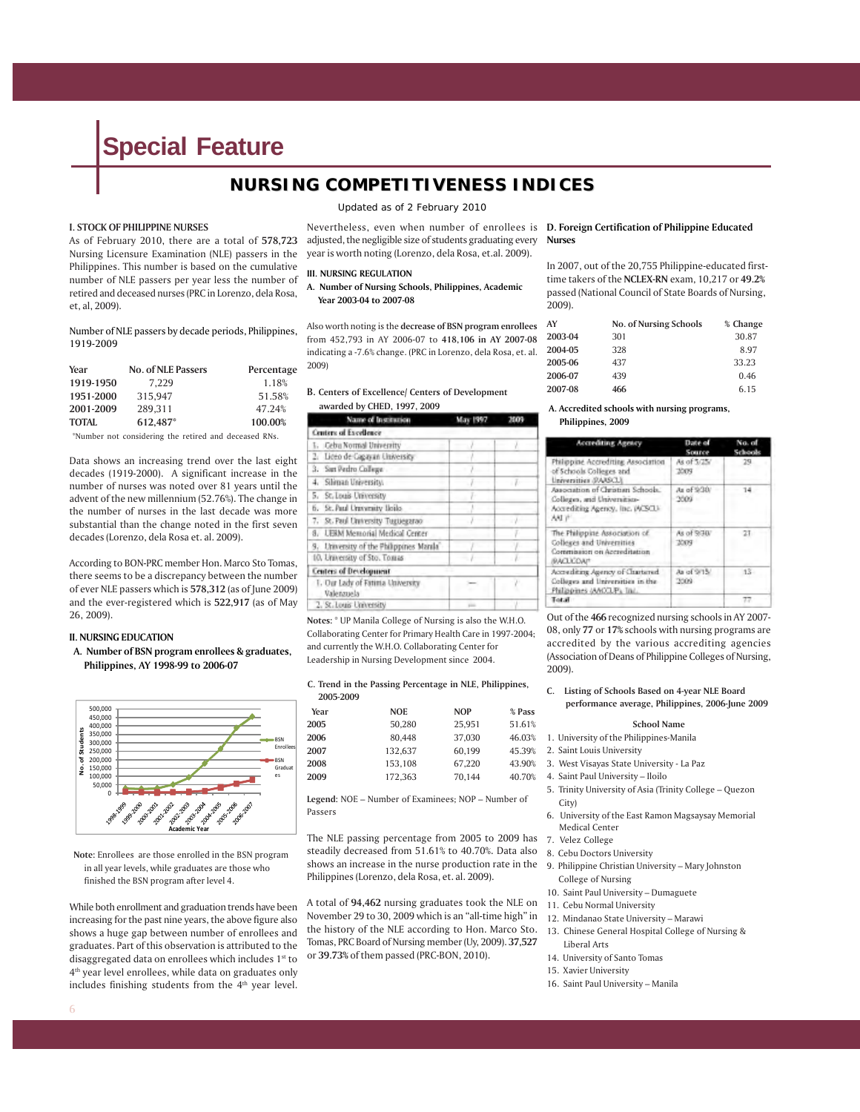### **NURSING COMPETITIVENESS INDICES**

#### **I. STOCK OF PHILIPPINE NURSES**

As of February 2010, there are a total of **578,723** Nursing Licensure Examination (NLE) passers in the Philippines. This number is based on the cumulative number of NLE passers per year less the number of retired and deceased nurses (PRC in Lorenzo, dela Rosa, et, al, 2009).

Number of NLE passers by decade periods, Philippines, 1919-2009

| Year         | <b>No. of NLE Passers</b> | Percentage |
|--------------|---------------------------|------------|
| 1919-1950    | 7.229                     | 1.18%      |
| 1951-2000    | 315.947                   | 51.58%     |
| 2001-2009    | 289.311                   | 47.24%     |
| <b>TOTAL</b> | 612.487*                  | 100.00%    |

\*Number not considering the retired and deceased RNs.

Data shows an increasing trend over the last eight decades (1919-2000). A significant increase in the number of nurses was noted over 81 years until the advent of the new millennium (52.76%). The change in the number of nurses in the last decade was more substantial than the change noted in the first seven decades (Lorenzo, dela Rosa et. al. 2009).

According to BON-PRC member Hon. Marco Sto Tomas, there seems to be a discrepancy between the number of ever NLE passers which is **578,312** (as of June 2009) and the ever-registered which is **522,917** (as of May 26, 2009).

#### **II. NURSING EDUCATION**

**A. Number of BSN program enrollees & graduates, Philippines, AY 1998-99 to 2006-07**



**Note:** Enrollees are those enrolled in the BSN program in all year levels, while graduates are those who finished the BSN program after level 4.

While both enrollment and graduation trends have been increasing for the past nine years, the above figure also shows a huge gap between number of enrollees and graduates. Part of this observation is attributed to the disaggregated data on enrollees which includes 1st to 4th year level enrollees, while data on graduates only includes finishing students from the 4<sup>th</sup> year level.

*Updated as of 2 February 2010* 

Nevertheless, even when number of enrollees is **D. Foreign Certification of Philippine Educated** adjusted, the negligible size of students graduating every Nurses year is worth noting (Lorenzo, dela Rosa, et.al. 2009).

#### **III. NURSING REGULATION**

**A. Number of Nursing Schools, Philippines, Academic Year 2003-04 to 2007-08**

Also worth noting is the **decrease of BSN program enrollees** from 452,793 in AY 2006-07 to **418,106 in AY 2007-08** indicating a -7.6% change. (PRC in Lorenzo, dela Rosa, et. al. 2009)

#### **B. Centers of Excellence/ Centers of Development awarded by CHED, 1997, 2009**

| Name of Institution                              | May 1997 | 3003 |
|--------------------------------------------------|----------|------|
| Centers of Excellence                            |          |      |
| 1. Geba Normal University                        |          |      |
| 2. Liceo de Cagayan University                   |          |      |
| 3. Sun Pedro College                             |          |      |
| 4. Siliman University.                           |          |      |
| 5. St. Louis University                          |          |      |
| 6. St. Paul Uraversity Ileilo                    |          |      |
| 7. St. Paul University Tuguegarao                |          |      |
| 8. UEBM Memorial Medical Center                  |          |      |
| 9. University of the Philippines Manila          |          |      |
| 10. University of Sto. Tomas                     |          |      |
| Centers of Development                           |          |      |
| 1. Our Lady of Fattitia University<br>Valenzuela |          |      |
| 2. St. Louis University                          | $\sim$   |      |

**Notes:** \* UP Manila College of Nursing is also the W.H.O. Collaborating Center for Primary Health Care in 1997-2004; and currently the W.H.O. Collaborating Center for Leadership in Nursing Development since 2004.

#### **C. Trend in the Passing Percentage in NLE, Philippines,**

| 2005-2009 |            |            |        |
|-----------|------------|------------|--------|
| Year      | <b>NOE</b> | <b>NOP</b> | % Pass |
| 2005      | 50.280     | 25.951     | 51.61% |
| 2006      | 80.448     | 37.030     | 46.03% |
| 2007      | 132.637    | 60.199     | 45.39% |
| 2008      | 153,108    | 67.220     | 43.90% |
| 2009      | 172.363    | 70.144     | 40.70% |

**Legend:** NOE – Number of Examinees; NOP – Number of Passers

The NLE passing percentage from 2005 to 2009 has steadily decreased from 51.61% to 40.70%. Data also shows an increase in the nurse production rate in the Philippines (Lorenzo, dela Rosa, et. al. 2009).

A total of **94,462** nursing graduates took the NLE on November 29 to 30, 2009 which is an "all-time high" in the history of the NLE according to Hon. Marco Sto. Tomas, PRC Board of Nursing member (Uy, 2009). **37,527** or **39.73%** of them passed (PRC-BON, 2010).

In 2007, out of the 20,755 Philippine-educated firsttime takers of the **NCLEX-RN** exam, 10,217 or **49.2%** passed (National Council of State Boards of Nursing, 2009).

| AY      | <b>No. of Nursing Schools</b> | % Change |
|---------|-------------------------------|----------|
| 2003-04 | 301                           | 30.87    |
| 2004-05 | 328                           | 8.97     |
| 2005-06 | 437                           | 33.23    |
| 2006-07 | 439                           | 0.46     |
| 2007-08 | 466                           | 6.15     |

#### **A. Accredited schools with nursing programs, Philippines, 2009**

| . . |  |  |
|-----|--|--|
|     |  |  |
|     |  |  |

| <b>Accrediting Agency</b>                                                                                       | Date of<br>Source          | No. of<br>Schools |
|-----------------------------------------------------------------------------------------------------------------|----------------------------|-------------------|
| Philippine Accrediting Association<br>of Schools Colleges and<br>Universities (RARSCL)                          | As of 5/25/<br>2009        | 29                |
| Association of Christian Schools,<br>Colleges, and Universities-<br>Accrediting Agency, Inc. (ACSCL):<br>AND IP | As of 9:30/<br>2009        | $14 -$            |
| The Philippine Association of<br><b>Colleges and Universities</b><br>Commission on Accreditation<br>BACLICOAM   | As of 9/30/<br><b>TOUR</b> | 21.               |
| According Agency of Chartered<br>Colleges and liniversities in the<br>Philippines (AAOLP), Inc.                 | As of 9/15/<br>3509        | $13 -$            |
| Total                                                                                                           |                            | 77                |

Out of the **466** recognized nursing schools in AY 2007- 08, only **77** or **17%** schools with nursing programs are accredited by the various accrediting agencies (Association of Deans of Philippine Colleges of Nursing, 2009).

#### **C. Listing of Schools Based on 4-year NLE Board performance average, Philippines, 2006-June 2009**

#### **School Name**

- 1. University of the Philippines-Manila
- 2. Saint Louis University
- 3. West Visayas State University La Paz
- 4. Saint Paul University Iloilo
- 5. Trinity University of Asia (Trinity College Quezon City)
- 6. University of the East Ramon Magsaysay Memorial Medical Center
- 7. Velez College
- 8. Cebu Doctors University
- 9. Philippine Christian University Mary Johnston College of Nursing
- 10. Saint Paul University Dumaguete
- 11. Cebu Normal University
- 12. Mindanao State University Marawi
- 13. Chinese General Hospital College of Nursing & Liberal Arts
- 14. University of Santo Tomas
- 15. Xavier University
- 16. Saint Paul University Manila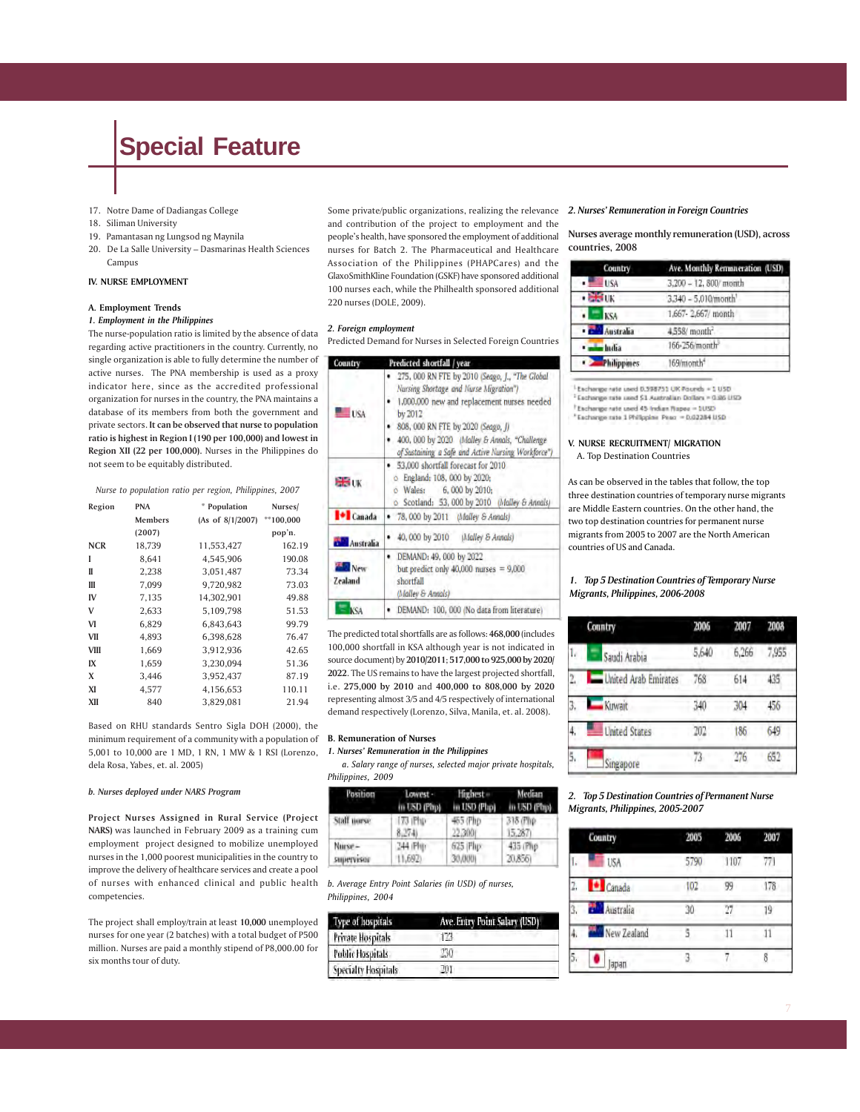- 17. Notre Dame of Dadiangas College
- 18. Siliman University
- 19. Pamantasan ng Lungsod ng Maynila
- 20. De La Salle University Dasmarinas Health Sciences Campus

#### **IV. NURSE EMPLOYMENT**

#### **A. Employment Trends**

#### *1. Employment in the Philippines*

The nurse-population ratio is limited by the absence of data regarding active practitioners in the country. Currently, no single organization is able to fully determine the number of active nurses. The PNA membership is used as a proxy indicator here, since as the accredited professional organization for nurses in the country, the PNA maintains a database of its members from both the government and private sectors. **It can be observed that nurse to population ratio is highest in Region I (190 per 100,000) and lowest in Region XII (22 per 100,000).** Nurses in the Philippines do not seem to be equitably distributed.

#### *Nurse to population ratio per region, Philippines, 2007*

| Region      | <b>PNA</b> | * Population     | Nurses/     |
|-------------|------------|------------------|-------------|
|             | Members    | (As of 8/1/2007) | $**100,000$ |
|             | (2007)     |                  | pop'n.      |
| <b>NCR</b>  | 18,739     | 11,553,427       | 162.19      |
| I           | 8,641      | 4,545,906        | 190.08      |
| II          | 2,238      | 3,051,487        | 73.34       |
| Ш           | 7,099      | 9,720,982        | 73.03       |
| IV          | 7,135      | 14,302,901       | 49.88       |
| V           | 2,633      | 5,109,798        | 51.53       |
| VI          | 6,829      | 6,843,643        | 99.79       |
| VII         | 4,893      | 6,398,628        | 76.47       |
| <b>VIII</b> | 1,669      | 3,912,936        | 42.65       |
| IX          | 1,659      | 3,230,094        | 51.36       |
| X           | 3,446      | 3,952,437        | 87.19       |
| XI          | 4,577      | 4,156,653        | 110.11      |
| XII         | 840        | 3,829,081        | 21.94       |

Based on RHU standards Sentro Sigla DOH (2000), the minimum requirement of a community with a population of **B. Remuneration of Nurses** 5,001 to 10,000 are 1 MD, 1 RN, 1 MW & 1 RSI (Lorenzo, dela Rosa, Yabes, et. al. 2005)

#### *b. Nurses deployed under NARS Program*

**Project Nurses Assigned in Rural Service (Project NARS)** was launched in February 2009 as a training cum employment project designed to mobilize unemployed nurses in the 1,000 poorest municipalities in the country to improve the delivery of healthcare services and create a pool of nurses with enhanced clinical and public health competencies.

The project shall employ/train at least **10,000** unemployed nurses for one year (2 batches) with a total budget of P500 million. Nurses are paid a monthly stipend of P8,000.00 for six months tour of duty.

Some private/public organizations, realizing the relevance 2. Nurses' Remuneration in Foreign Countries and contribution of the project to employment and the people's health, have sponsored the employment of additional nurses for Batch 2. The Pharmaceutical and Healthcare Association of the Philippines (PHAPCares) and the GlaxoSmithKline Foundation (GSKF) have sponsored additional 100 nurses each, while the Philhealth sponsored additional 220 nurses (DOLE, 2009).

#### *2. Foreign employment*

Predicted Demand for Nurses in Selected Foreign Countries

| Country          | Predicted shortfall / year                                                                                                                                                                                                                                                                            |  |  |
|------------------|-------------------------------------------------------------------------------------------------------------------------------------------------------------------------------------------------------------------------------------------------------------------------------------------------------|--|--|
| <b>USA</b>       | · 275, 000 RN FTE by 2010 (Seago, J., "The Global<br>Nursing Shortage and Nurse Migration")<br>. 1,000,000 new and replacement nurses needed<br>by 2012<br>808, 000 RN FTE by 2020 (Seago, J)<br>400, 000 by 2020 (Malley & Annals, "Challenge<br>of Sustaining a Safe and Active Nursing Workforce") |  |  |
| <b>BBUK</b>      | · 53,000 shortfall forecast for 2010<br>o England: 108, 000 by 2020:<br>o Wales: 6, 000 by 2010;<br>o Scotland: 53, 000 by 2010 (Malley & Annals)                                                                                                                                                     |  |  |
| <b>D</b> Canada  | 78, 000 by 2011 (Malley & Annals)                                                                                                                                                                                                                                                                     |  |  |
| <b>Australia</b> | 40, 000 by 2010 (Malley & Annals)                                                                                                                                                                                                                                                                     |  |  |
| New<br>Zealand   | DEMAND: 49, 000 by 2022<br>but predict only $40,000$ nurses = $9,000$<br>shortfall<br>(Malley & Annals)                                                                                                                                                                                               |  |  |
|                  | DEMAND: 100, 000 (No data from literature)                                                                                                                                                                                                                                                            |  |  |

The predicted total shortfalls are as follows: **468,000** (includes 100,000 shortfall in KSA although year is not indicated in source document) by **2010/2011**; **517,000 to 925,000 by 2020/ 2022**. The US remains to have the largest projected shortfall, i.e. **275,000 by 2010** and **400,000 to 808,000 by 2020** representing almost 3/5 and 4/5 respectively of international demand respectively (Lorenzo, Silva, Manila, et. al. 2008).

#### *1. Nurses' Remuneration in the Philippines*

 *a. Salary range of nurses, selected major private hospitals, Philippines, 2009*

| Position    | Lowest -      | <b>Highest</b> | Median       |
|-------------|---------------|----------------|--------------|
|             | in USD (Pap). | in USD (Php)   | in USD (Php) |
| Staff norse | 173 Php       | 465 (Php)      | 318 (Flip)   |
|             | 8.2741        | 22,300(        | 15,287)      |
| Nurse-      | 344 (Ph       | 625 Php        | 435 (Php)    |
| supervisor  | 11,692        | 30,0001        | 20,8561      |

*b. Average Entry Point Salaries (in USD) of nurses, Philippines, 2004*

| <b>Type of hospitals</b>   | Ave. Entry Point Salary (USD) |  |  |
|----------------------------|-------------------------------|--|--|
| Private Hospitals          | B                             |  |  |
| <b>Public Hospitals</b>    |                               |  |  |
| <b>Specialty Hospitals</b> |                               |  |  |

**Nurses average monthly remuneration (USD), across countries, 2008**

| Country                        | Ave. Monthly Remuneration (USD) |  |  |
|--------------------------------|---------------------------------|--|--|
| $\frac{1}{2}$ is $\frac{1}{2}$ | 3,200 - 12, 800/ month          |  |  |
| <b>BEFORE</b>                  | 3.340 - 5.010/month             |  |  |
| <b>KSA</b><br>ж                | 1,667-2,667/ month              |  |  |
| <b>Call Australia</b>          | 4.558/ month <sup>2</sup>       |  |  |
| · mindia                       | 166-256/month                   |  |  |
| Philippines                    | 169/month <sup>4</sup>          |  |  |

Exchange rate used 0.998731 UK Poureb + 1 USD

<sup>2</sup> Eachwage rate used \$1 Australian Dollars = 0.86 USD

Exchange rate used 45 Indian Rapes - 1USD

\*Escharge rate 1 Philippine Peac = 0.02284 USD

#### **V. NURSE RECRUITMENT/ MIGRATION**

A. Top Destination Countries

As can be observed in the tables that follow, the top three destination countries of temporary nurse migrants are Middle Eastern countries. On the other hand, the two top destination countries for permanent nurse migrants from 2005 to 2007 are the North American countries of US and Canada.

#### *1. Top 5 Destination Countries of Temporary Nurse Migrants, Philippines, 2006-2008*

|    | Conntry              | 2006  | 2007  | 2008  |
|----|----------------------|-------|-------|-------|
| ۱, | Saudi Arabia         | 5.640 | 6,266 | 7,955 |
| 2. | United Arab Emirates | 768   | 614   | 435   |
| 3, | Kuwait               | 340   | 304   | 456   |
|    | <b>United States</b> | 202   | 186   | 649   |
| 5. | Singapore            | 73    | 276   | 652   |

#### *2. Top 5 Destination Countries of Permanent Nurse Migrants, Philippines, 2005-2007*

| Country |             | 2005 | 2006 | 2007 |
|---------|-------------|------|------|------|
| I.      | <b>USA</b>  | 5790 | 1107 | 77)  |
| Ż,      | Canada      | 102  | 99   | 178  |
| 3.      | Australia   | 30   | 77   | 19   |
| 4       | New Zealand |      | 1    | 11   |
| 5,      | apan        |      |      | 8    |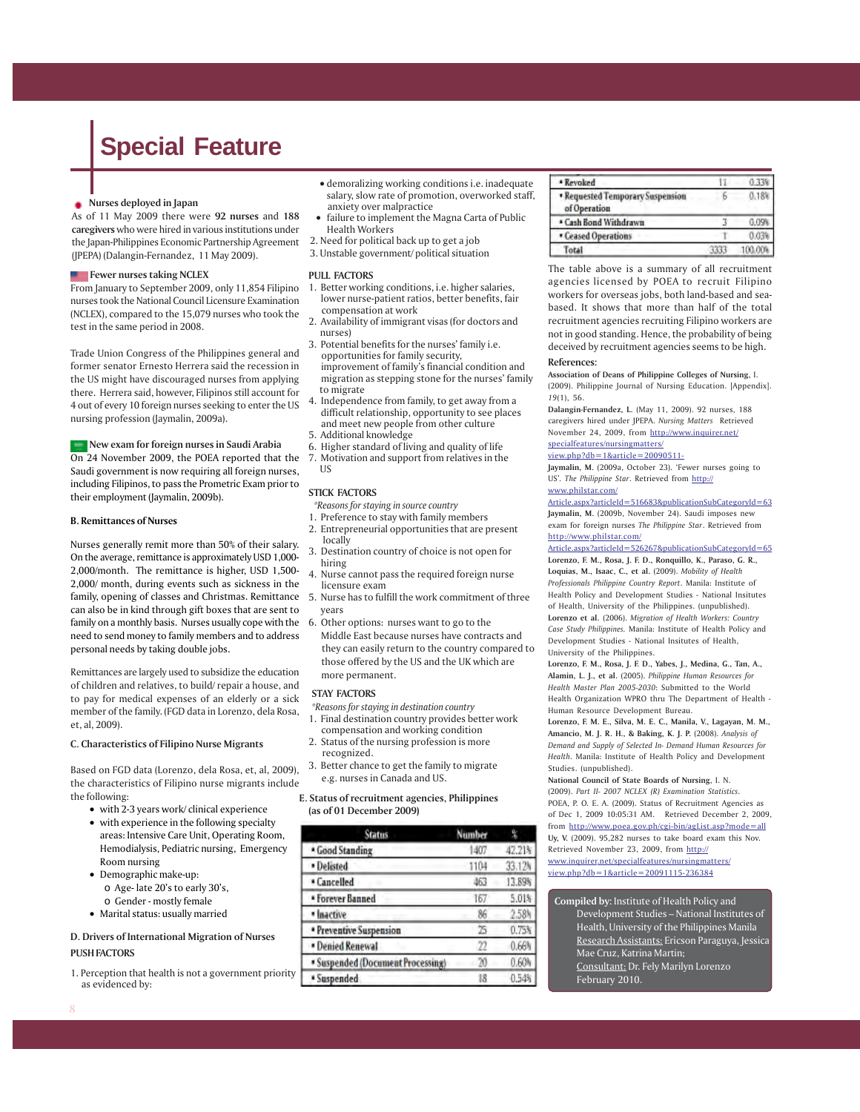#### **Nurses deployed in Japan**

As of 11 May 2009 there were **92 nurses** and **188 caregivers** who were hired in various institutions under the Japan-Philippines Economic Partnership Agreement (JPEPA) (Dalangin-Fernandez, 11 May 2009).

#### **Figure Fewer nurses taking NCLEX**

From January to September 2009, only 11,854 Filipino nurses took the National Council Licensure Examination (NCLEX), compared to the 15,079 nurses who took the test in the same period in 2008.

Trade Union Congress of the Philippines general and former senator Ernesto Herrera said the recession in the US might have discouraged nurses from applying there. Herrera said, however, Filipinos still account for 4 out of every 10 foreign nurses seeking to enter the US nursing profession (Jaymalin, 2009a).

**New exam for foreign nurses in Saudi Arabia** On 24 November 2009, the POEA reported that the Saudi government is now requiring all foreign nurses, including Filipinos, to pass the Prometric Exam prior to their employment (Jaymalin, 2009b).

#### **B. Remittances of Nurses**

Nurses generally remit more than 50% of their salary. On the average, remittance is approximately USD 1,000- 2,000/month. The remittance is higher, USD 1,500- 2,000/ month, during events such as sickness in the family, opening of classes and Christmas. Remittance can also be in kind through gift boxes that are sent to family on a monthly basis. Nurses usually cope with the 6. Other options: nurses want to go to the need to send money to family members and to address personal needs by taking double jobs.

Remittances are largely used to subsidize the education of children and relatives, to build/ repair a house, and to pay for medical expenses of an elderly or a sick member of the family. (FGD data in Lorenzo, dela Rosa, et, al, 2009).

#### **C. Characteristics of Filipino Nurse Migrants**

Based on FGD data (Lorenzo, dela Rosa, et, al, 2009), the characteristics of Filipino nurse migrants include the following:

- with 2-3 years work/ clinical experience
- with experience in the following specialty areas: Intensive Care Unit, Operating Room, Hemodialysis, Pediatric nursing, Emergency Room nursing
- Demographic make-up:
	- o Age- late 20's to early 30's,
	- o Gender mostly female
- Marital status: usually married

#### **D. Drivers of International Migration of Nurses PUSH FACTORS**

1. Perception that health is not a government priority as evidenced by:

- demoralizing working conditions i.e. inadequate salary, slow rate of promotion, overworked staff, anxiety over malpractice
- failure to implement the Magna Carta of Public Health Workers
- 2. Need for political back up to get a job
- 3. Unstable government/ political situation

#### **PULL FACTORS**

- 1. Better working conditions, i.e. higher salaries, lower nurse-patient ratios, better benefits, fair compensation at work
- 2. Availability of immigrant visas (for doctors and nurses)
- 3. Potential benefits for the nurses' family i.e. opportunities for family security, improvement of family's financial condition and migration as stepping stone for the nurses' family to migrate
- 4. Independence from family, to get away from a difficult relationship, opportunity to see places and meet new people from other culture
- 5. Additional knowledge
- 6. Higher standard of living and quality of life
- 7. Motivation and support from relatives in the US

#### **STICK FACTORS**

*\*Reasons for staying in source country*

- 1. Preference to stay with family members
- 2. Entrepreneurial opportunities that are present locally
- 3. Destination country of choice is not open for hiring
- 4. Nurse cannot pass the required foreign nurse licensure exam
- 5. Nurse has to fulfill the work commitment of three years
- Middle East because nurses have contracts and they can easily return to the country compared to those offered by the US and the UK which are more permanent.

#### **STAY FACTORS**

- *\*Reasons for staying in destination country* 1. Final destination country provides better work
- compensation and working condition 2. Status of the nursing profession is more
- recognized. 3. Better chance to get the family to migrate
- e.g. nurses in Canada and US.

#### **E. Status of recruitment agencies, Philippines (as of 01 December 2009)**

| <b>Status</b>                     | <b>Number</b> |        |
|-----------------------------------|---------------|--------|
| · Good Standing                   | 1407          | 42.21% |
| · Delisted                        | 1104          | 33.12% |
| * Cancelled                       | 463           | 13.89% |
| · Forever Banned                  | 167           | 5.01%  |
| · Inactive                        | 86            | 2.58k  |
| · Preventive Suspension           | 25            | 0.75%  |
| · Denied Renewal                  | 22            | 0.66%  |
| · Suspended (Document Processing) | M             | 0.60h  |
| * Suspended                       | 18            | 0.54%  |

| * Revoked                                        |      |         |
|--------------------------------------------------|------|---------|
| · Requested Temporary Suspension<br>of Operation | ь    | 0.18    |
| * Cash Bond Withdrawn                            |      | 0.098   |
| · Ceased Operations                              |      | 0.03    |
| Total                                            | 3333 | 100.009 |

The table above is a summary of all recruitment agencies licensed by POEA to recruit Filipino workers for overseas jobs, both land-based and seabased. It shows that more than half of the total recruitment agencies recruiting Filipino workers are not in good standing. Hence, the probability of being deceived by recruitment agencies seems to be high.

#### **References:**

**Association of Deans of Philippine Colleges of Nursing,** I. (2009). Philippine Journal of Nursing Education. [Appendix]. *19*(1), 56.

**Dalangin-Fernandez, L.** (May 11, 2009). 92 nurses, 188 caregivers hired under JPEPA. *Nursing Matters* Retrieved November 24, 2009, from http://www.inquirer.net/

#### specialfeatures/nursingmatters/

view.php?db=1&article=20090511-

**Jaymalin, M.** (2009a, October 23). 'Fewer nurses going to US'*. The Philippine Star*. Retrieved from http://

#### www.philstar.com/

Article.aspx?articleId=516683&publicationSubCategoryId=63 **Jaymalin, M.** (2009b, November 24). Saudi imposes new exam for foreign nurses *The Philippine Star*. Retrieved from http://www.philstar.com/

Article.aspx?articleId=526267&publicationSubCategoryId=65 **Lorenzo, F. M., Rosa, J. F. D., Ronquillo, K., Paraso, G. R., Loquias, M., Isaac, C., et al.** (2009). *Mobility of Health Professionals Philippine Country Report*. Manila: Institute of Health Policy and Development Studies - National Insitutes of Health, University of the Philippines. (unpublished). **Lorenzo et al.** (2006). *Migration of Health Workers: Country Case Study Philippines.* Manila: Institute of Health Policy and Development Studies - National Insitutes of Health, University of the Philippines.

**Lorenzo, F. M., Rosa, J. F. D., Yabes, J., Medina, G., Tan, A., Alamin, L. J., et al.** (2005). *Philippine Human Resources for Health Master Plan 2005-2030*: Submitted to the World Health Organization WPRO thru The Department of Health - Human Resource Development Bureau.

**Lorenzo, F. M. E., Silva, M. E. C., Manila, V., Lagayan, M. M., Amancio, M. J. R. H., & Baking, K. J. P.** (2008). *Analysis of Demand and Supply of Selected In- Demand Human Resources for Health*. Manila: Institute of Health Policy and Development Studies. (unpublished).

**National Council of State Boards of Nursing**, I. N. (2009). *Part II- 2007 NCLEX (R) Examination Statistics*. POEA, P. O. E. A. (2009). Status of Recruitment Agencies as of Dec 1, 2009 10:05:31 AM. Retrieved December 2, 2009, from http://www.poea.gov.ph/cgi-bin/agList.asp?mode=all **Uy, V.** (2009). 95,282 nurses to take board exam this Nov. Retrieved November 23, 2009, from http:// www.inquirer.net/specialfeatures/nursingmatters/ view.php?db=1&article=20091115-236384

**Compiled by:** Institute of Health Policy and Development Studies – National Institutes of Health, University of the Philippines Manila Research Assistants: Ericson Paraguya, Jessica Mae Cruz, Katrina Martin; Consultant: Dr. Fely Marilyn Lorenzo February 2010.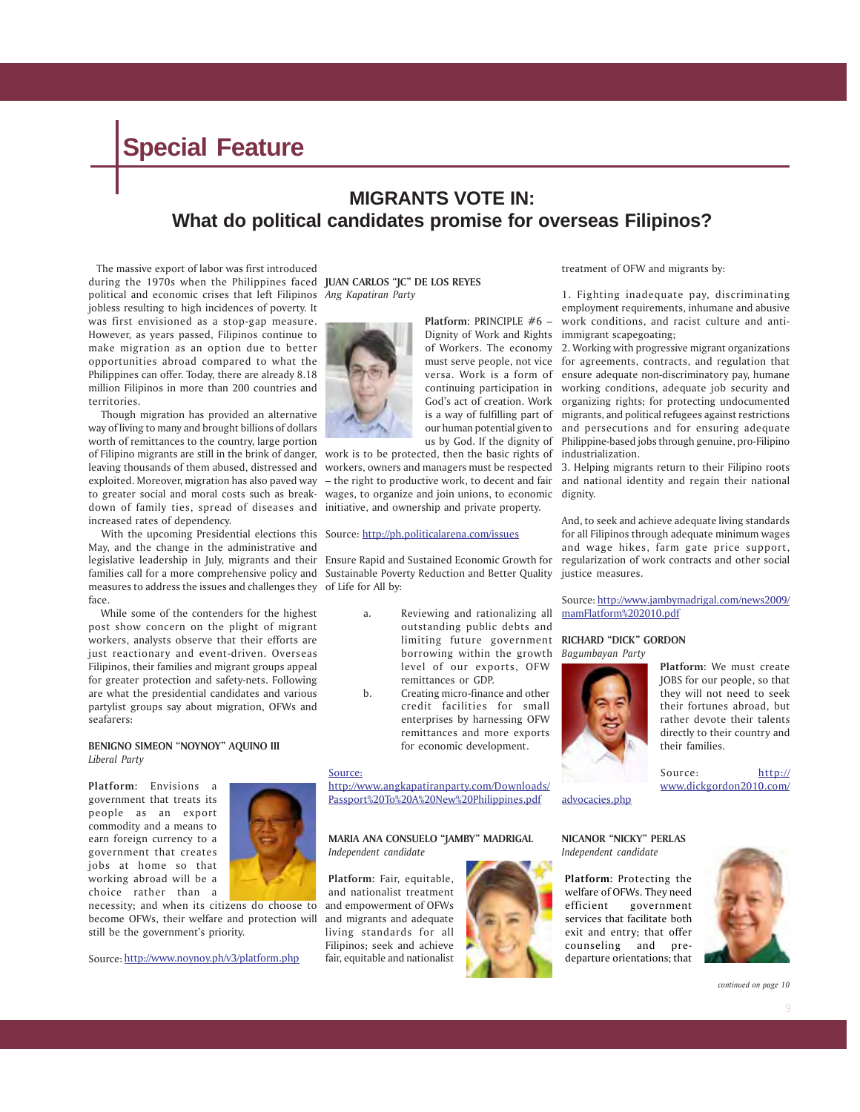### **MIGRANTS VOTE IN: What do political candidates promise for overseas Filipinos?**

 The massive export of labor was first introduced during the 1970s when the Philippines faced **JUAN CARLOS "JC" DE LOS REYES** political and economic crises that left Filipinos *Ang Kapatiran Party* jobless resulting to high incidences of poverty. It was first envisioned as a stop-gap measure. However, as years passed, Filipinos continue to make migration as an option due to better opportunities abroad compared to what the Philippines can offer. Today, there are already 8.18 million Filipinos in more than 200 countries and territories.

 Though migration has provided an alternative way of living to many and brought billions of dollars worth of remittances to the country, large portion of Filipino migrants are still in the brink of danger, work is to be protected, then the basic rights of industrialization. down of family ties, spread of diseases and initiative, and ownership and private property. increased rates of dependency.

With the upcoming Presidential elections this Source: http://ph.politicalarena.com/issues May, and the change in the administrative and legislative leadership in July, migrants and their Ensure Rapid and Sustained Economic Growth for measures to address the issues and challenges they of Life for All by: face.

 While some of the contenders for the highest post show concern on the plight of migrant workers, analysts observe that their efforts are just reactionary and event-driven. Overseas Filipinos, their families and migrant groups appeal for greater protection and safety-nets. Following are what the presidential candidates and various partylist groups say about migration, OFWs and seafarers:

#### **BENIGNO SIMEON "NOYNOY" AQUINO III** *Liberal Party*

**Platform:** Envisions a government that treats its people as an export commodity and a means to earn foreign currency to a government that creates jobs at home so that working abroad will be a choice rather than a



necessity; and when its citizens do choose to become OFWs, their welfare and protection will still be the government's priority.

Source: http://www.noynoy.ph/v3/platform.php



Dignity of Work and Rights immigrant scapegoating;

**Platform:** PRINCIPLE #6 –

leaving thousands of them abused, distressed and workers, owners and managers must be respected 3. Helping migrants return to their Filipino roots exploited. Moreover, migration has also paved way – the right to productive work, to decent and fair and national identity and regain their national to greater social and moral costs such as break-wages, to organize and join unions, to economic dignity.

families call for a more comprehensive policy and Sustainable Poverty Reduction and Better Quality justice measures.

- a. Reviewing and rationalizing all outstanding public debts and limiting future government **RICHARD "DICK" GORDON** borrowing within the growth *Bagumbayan Party* level of our exports, OFW remittances or GDP.
- b. Creating micro-finance and other credit facilities for small enterprises by harnessing OFW remittances and more exports for economic development.

#### Source:

http://www.angkapatiranparty.com/Downloads/ Passport%20To%20A%20New%20Philippines.pdf

#### **MARIA ANA CONSUELO "JAMBY" MADRIGAL** *Independent candidate*

**Platform:** Fair, equitable, and nationalist treatment and empowerment of OFWs and migrants and adequate living standards for all Filipinos; seek and achieve fair, equitable and nationalist



treatment of OFW and migrants by:

1. Fighting inadequate pay, discriminating employment requirements, inhumane and abusive work conditions, and racist culture and anti-

of Workers. The economy 2. Working with progressive migrant organizations must serve people, not vice for agreements, contracts, and regulation that versa. Work is a form of ensure adequate non-discriminatory pay, humane continuing participation in working conditions, adequate job security and God's act of creation. Work organizing rights; for protecting undocumented is a way of fulfilling part of migrants, and political refugees against restrictions our human potential given to and persecutions and for ensuring adequate us by God. If the dignity of Philippine-based jobs through genuine, pro-Filipino

And, to seek and achieve adequate living standards for all Filipinos through adequate minimum wages and wage hikes, farm gate price support, regularization of work contracts and other social

Source: http://www.jambymadrigal.com/news2009/ mamFlatform%202010.pdf



advocacies.php

**Platform:** We must create JOBS for our people, so that they will not need to seek their fortunes abroad, but rather devote their talents directly to their country and their families.

Source: http:// www.dickgordon2010.com/

#### **NICANOR "NICKY" PERLAS** *Independent candidate*

**Platform:** Protecting the welfare of OFWs. They need efficient government services that facilitate both exit and entry; that offer counseling and predeparture orientations; that



*continued on page 10*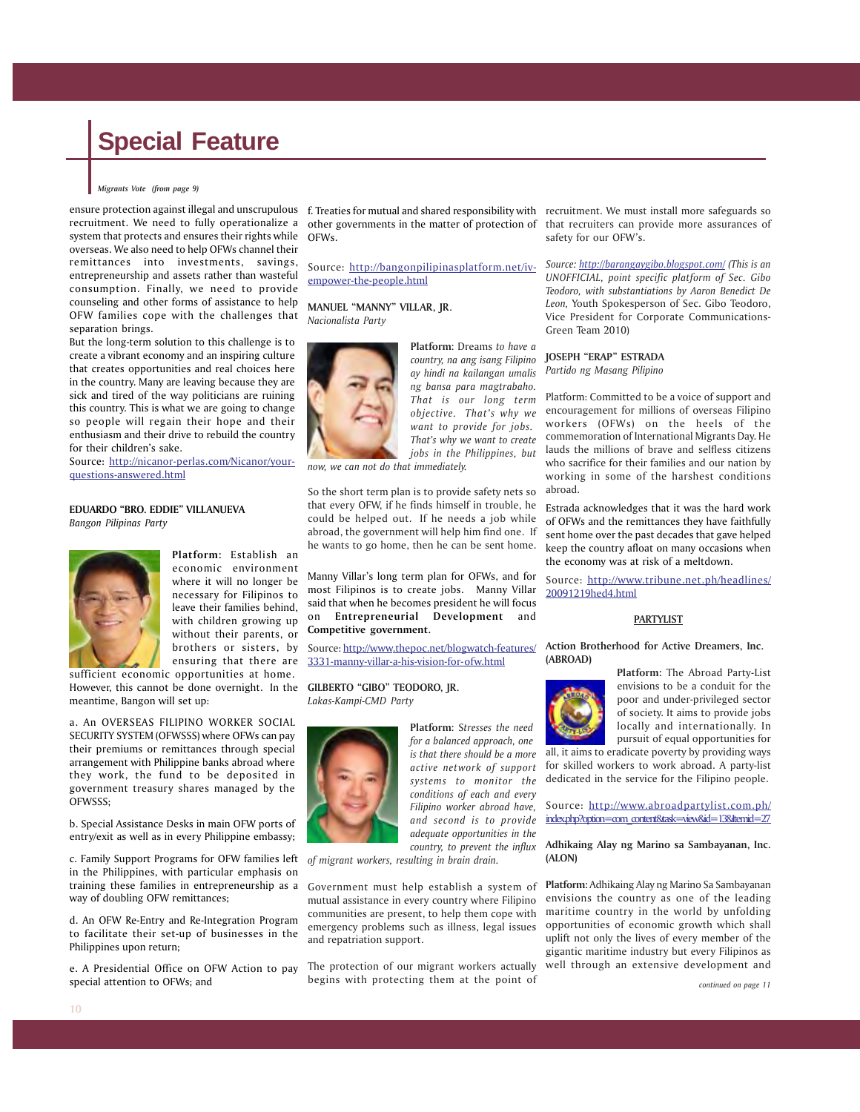#### *Migrants Vote (from page 9)*

recruitment. We need to fully operationalize a system that protects and ensures their rights while overseas. We also need to help OFWs channel their remittances into investments, savings, entrepreneurship and assets rather than wasteful consumption. Finally, we need to provide counseling and other forms of assistance to help OFW families cope with the challenges that separation brings.

But the long-term solution to this challenge is to create a vibrant economy and an inspiring culture that creates opportunities and real choices here in the country. Many are leaving because they are sick and tired of the way politicians are ruining this country. This is what we are going to change so people will regain their hope and their enthusiasm and their drive to rebuild the country for their children's sake.

Source: http://nicanor-perlas.com/Nicanor/yourquestions-answered.html

#### **EDUARDO "BRO. EDDIE" VILLANUEVA**

*Bangon Pilipinas Party*



**Platform:** Establish an economic environment where it will no longer be necessary for Filipinos to leave their families behind, with children growing up without their parents, or brothers or sisters, by ensuring that there are

sufficient economic opportunities at home. However, this cannot be done overnight. In the **GILBERTO "GIBO" TEODORO, JR.** meantime, Bangon will set up:

a. An OVERSEAS FILIPINO WORKER SOCIAL SECURITY SYSTEM (OFWSSS) where OFWs can pay their premiums or remittances through special arrangement with Philippine banks abroad where they work, the fund to be deposited in government treasury shares managed by the OFWSSS;

b. Special Assistance Desks in main OFW ports of entry/exit as well as in every Philippine embassy;

c. Family Support Programs for OFW families left *of migrant workers, resulting in brain drain.* in the Philippines, with particular emphasis on training these families in entrepreneurship as a Government must help establish a system of way of doubling OFW remittances;

d. An OFW Re-Entry and Re-Integration Program to facilitate their set-up of businesses in the Philippines upon return;

e. A Presidential Office on OFW Action to pay special attention to OFWs; and

other governments in the matter of protection of that recruiters can provide more assurances of OFWs.

Source: http://bangonpilipinasplatform.net/ivempower-the-people.html

**MANUEL "MANNY" VILLAR, JR.** *Nacionalista Party*



**Platform:** Dreams *to have a country, na ang isang Filipino ay hindi na kailangan umalis ng bansa para magtrabaho. That is our long term objective. That's why we want to provide for jobs. That's why we want to create jobs in the Philippines, but*

*now, we can not do that immediately.*

So the short term plan is to provide safety nets so that every OFW, if he finds himself in trouble, he could be helped out. If he needs a job while abroad, the government will help him find one. If he wants to go home, then he can be sent home.

Manny Villar's long term plan for OFWs, and for most Filipinos is to create jobs. Manny Villar said that when he becomes president he will focus on **Entrepreneurial Development** and **Competitive government.**

Source: http://www.thepoc.net/blogwatch-features/ 3331-manny-villar-a-his-vision-for-ofw.html

*Lakas-Kampi-CMD Party*



**Platform:** S*tresses the need for a balanced approach, one is that there should be a more active network of support systems to monitor the conditions of each and every Filipino worker abroad have, and second is to provide adequate opportunities in the country, to prevent the influx*

mutual assistance in every country where Filipino communities are present, to help them cope with emergency problems such as illness, legal issues and repatriation support.

The protection of our migrant workers actually begins with protecting them at the point of

ensure protection against illegal and unscrupulous f. Treaties for mutual and shared responsibility with recruitment. We must install more safeguards so safety for our OFW's.

> *Source: http://barangaygibo.blogspot.com/ (This is an UNOFFICIAL, point specific platform of Sec. Gibo Teodoro, with substantiations by Aaron Benedict De Leon,* Youth Spokesperson of Sec. Gibo Teodoro, Vice President for Corporate Communications-Green Team 2010)

**JOSEPH "ERAP" ESTRADA**

*Partido ng Masang Pilipino*

Platform: Committed to be a voice of support and encouragement for millions of overseas Filipino workers (OFWs) on the heels of the commemoration of International Migrants Day. He lauds the millions of brave and selfless citizens who sacrifice for their families and our nation by working in some of the harshest conditions abroad.

Estrada acknowledges that it was the hard work of OFWs and the remittances they have faithfully sent home over the past decades that gave helped keep the country afloat on many occasions when the economy was at risk of a meltdown.

Source: http://www.tribune.net.ph/headlines/ 20091219hed4.html

#### **PARTYLIST**

**Action Brotherhood for Active Dreamers, Inc. (ABROAD)**



**Platform:** The Abroad Party-List envisions to be a conduit for the poor and under-privileged sector of society. It aims to provide jobs locally and internationally. In pursuit of equal opportunities for

all, it aims to eradicate poverty by providing ways for skilled workers to work abroad. A party-list dedicated in the service for the Filipino people.

Source: http://www.abroadpartylist.com.ph/ index.php?option=com\_content&task=view&id=13&Itemid=27

#### **Adhikaing Alay ng Marino sa Sambayanan, Inc. (ALON)**

**Platform:** Adhikaing Alay ng Marino Sa Sambayanan envisions the country as one of the leading maritime country in the world by unfolding opportunities of economic growth which shall uplift not only the lives of every member of the gigantic maritime industry but every Filipinos as well through an extensive development and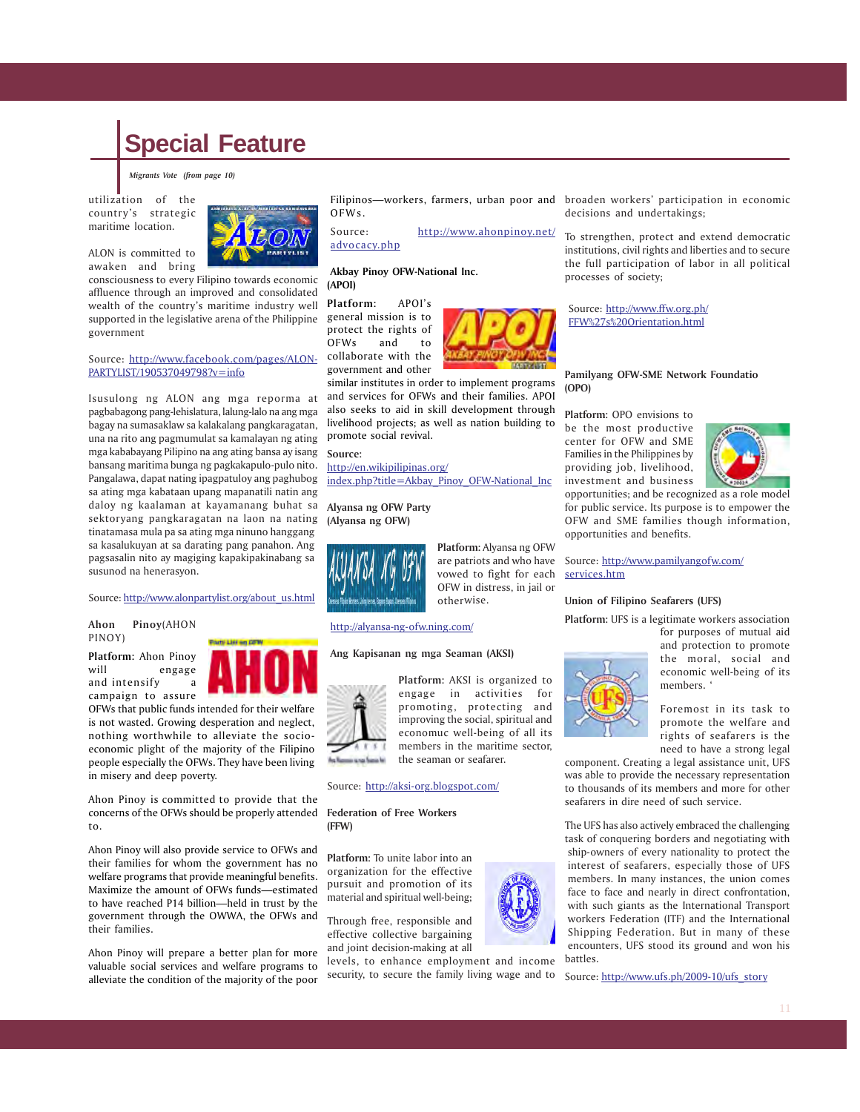*Migrants Vote (from page 10)*

utilization of the country's strategic maritime location.

ALON is committed to awaken and bring



consciousness to every Filipino towards economic affluence through an improved and consolidated wealth of the country's maritime industry well supported in the legislative arena of the Philippine government

#### Source: http://www.facebook.com/pages/ALON-PARTYLIST/190537049798?v=info

Isusulong ng ALON ang mga reporma at pagbabagong pang-lehislatura, lalung-lalo na ang mga bagay na sumasaklaw sa kalakalang pangkaragatan, una na rito ang pagmumulat sa kamalayan ng ating mga kababayang Pilipino na ang ating bansa ay isang bansang maritima bunga ng pagkakapulo-pulo nito. Pangalawa, dapat nating ipagpatuloy ang paghubog sa ating mga kabataan upang mapanatili natin ang daloy ng kaalaman at kayamanang buhat sa **Alyansa ng OFW Party** sektoryang pangkaragatan na laon na nating tinatamasa mula pa sa ating mga ninuno hanggang sa kasalukuyan at sa darating pang panahon. Ang pagsasalin nito ay magiging kapakipakinabang sa susunod na henerasyon.

#### Source: http://www.alonpartylist.org/about\_us.html

#### **Ahon Pinoy**(AHON PINOY)

**Platform:** Ahon Pinoy will engage and intensify a campaign to assure

OFWs that public funds intended for their welfare is not wasted. Growing desperation and neglect, nothing worthwhile to alleviate the socioeconomic plight of the majority of the Filipino people especially the OFWs. They have been living in misery and deep poverty.

Ahon Pinoy is committed to provide that the concerns of the OFWs should be properly attended **Federation of Free Workers** to.

Ahon Pinoy will also provide service to OFWs and their families for whom the government has no welfare programs that provide meaningful benefits. Maximize the amount of OFWs funds—estimated to have reached P14 billion—held in trust by the government through the OWWA, the OFWs and their families.

Ahon Pinoy will prepare a better plan for more valuable social services and welfare programs to alleviate the condition of the majority of the poor

Filipinos—workers, farmers, urban poor and broaden workers' participation in economic OFWs.

Source: http://www.ahonpinoy.net/ advocacy.php

#### **Akbay Pinoy OFW-National Inc. (APOI)**

**Platform:** APOI's general mission is to protect the rights of OFWs and to collaborate with the government and other



similar institutes in order to implement programs and services for OFWs and their families. APOI also seeks to aid in skill development through livelihood projects; as well as nation building to promote social revival.

#### **Source:**

http://en.wikipilipinas.org/ index.php?title=Akbay\_Pinoy\_OFW-National\_Inc

**(Alyansa ng OFW)**



**Platform:** Alyansa ng OFW are patriots and who have vowed to fight for each OFW in distress, in jail or otherwise.

#### http://alyansa-ng-ofw.ning.com/

#### **Ang Kapisanan ng mga Seaman (AKSI)**



**Platform:** AKSI is organized to engage in activities for promoting, protecting and improving the social, spiritual and economuc well-being of all its members in the maritime sector, the seaman or seafarer.

#### Source: http://aksi-org.blogspot.com/

**(FFW)**

**Platform:** To unite labor into an organization for the effective pursuit and promotion of its material and spiritual well-being;

Through free, responsible and effective collective bargaining and joint decision-making at all

levels, to enhance employment and income security, to secure the family living wage and to decisions and undertakings;

To strengthen, protect and extend democratic institutions, civil rights and liberties and to secure the full participation of labor in all political processes of society;

Source: http://www.ffw.org.ph/ FFW%27s%20Orientation.html

#### **Pamilyang OFW-SME Network Foundatio (OPO)**

**Platform:** OPO envisions to be the most productive center for OFW and SME Families in the Philippines by providing job, livelihood, investment and business



opportunities; and be recognized as a role model for public service. Its purpose is to empower the OFW and SME families though information, opportunities and benefits.

Source: http://www.pamilyangofw.com/ services.htm

#### **Union of Filipino Seafarers (UFS)**

**Platform:** UFS is a legitimate workers association

for purposes of mutual aid and protection to promote the moral, social and economic well-being of its members. '

Foremost in its task to promote the welfare and rights of seafarers is the need to have a strong legal

component. Creating a legal assistance unit, UFS was able to provide the necessary representation to thousands of its members and more for other seafarers in dire need of such service.

The UFS has also actively embraced the challenging task of conquering borders and negotiating with ship-owners of every nationality to protect the interest of seafarers, especially those of UFS members. In many instances, the union comes face to face and nearly in direct confrontation, with such giants as the International Transport workers Federation (ITF) and the International Shipping Federation. But in many of these encounters, UFS stood its ground and won his battles.

Source: http://www.ufs.ph/2009-10/ufs\_story

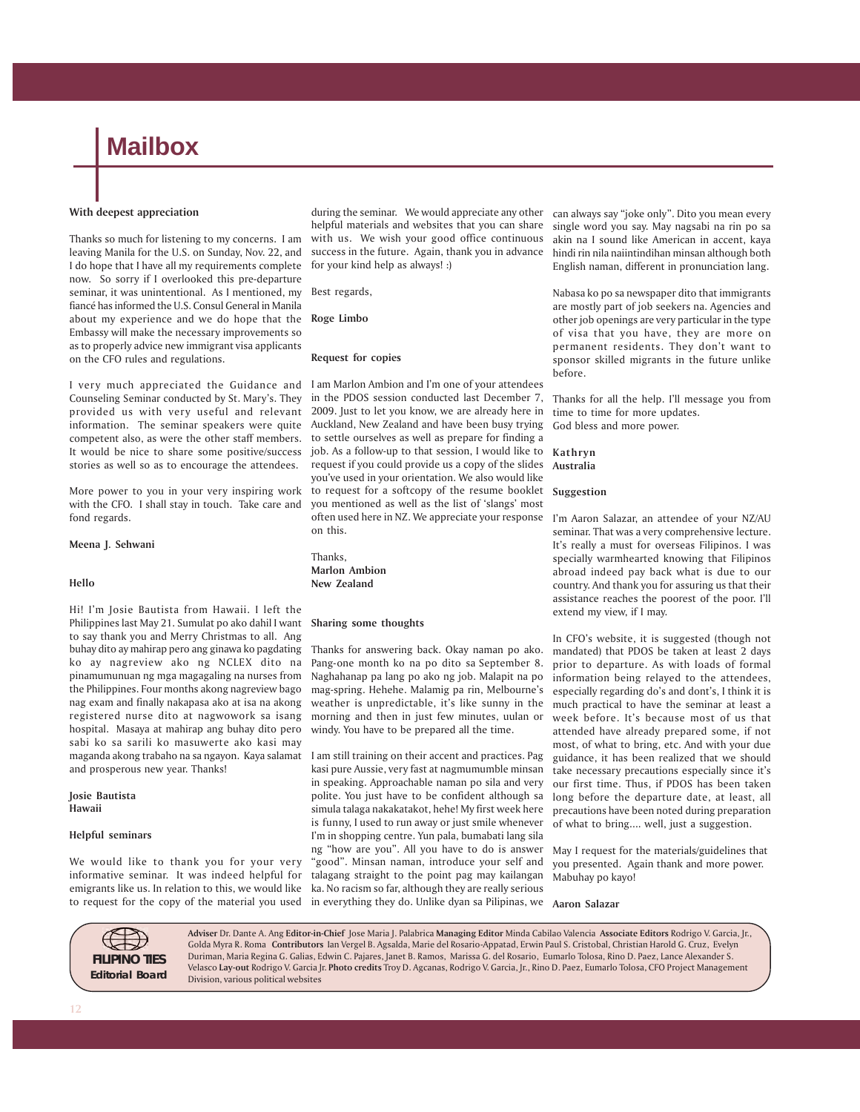### **Mailbox**

#### **With deepest appreciation**

Thanks so much for listening to my concerns. I am leaving Manila for the U.S. on Sunday, Nov. 22, and I do hope that I have all my requirements complete now. So sorry if I overlooked this pre-departure seminar, it was unintentional. As I mentioned, my fiancé has informed the U.S. Consul General in Manila about my experience and we do hope that the **Roge Limbo** Embassy will make the necessary improvements so as to properly advice new immigrant visa applicants on the CFO rules and regulations.

I very much appreciated the Guidance and Counseling Seminar conducted by St. Mary's. They provided us with very useful and relevant information. The seminar speakers were quite competent also, as were the other staff members. It would be nice to share some positive/success stories as well so as to encourage the attendees.

More power to you in your very inspiring work with the CFO. I shall stay in touch. Take care and fond regards.

#### **Meena J. Sehwani**

#### **Hello**

Hi! I'm Josie Bautista from Hawaii. I left the Philippines last May 21. Sumulat po ako dahil I want to say thank you and Merry Christmas to all. Ang buhay dito ay mahirap pero ang ginawa ko pagdating ko ay nagreview ako ng NCLEX dito na pinamumunuan ng mga magagaling na nurses from the Philippines. Four months akong nagreview bago nag exam and finally nakapasa ako at isa na akong registered nurse dito at nagwowork sa isang hospital. Masaya at mahirap ang buhay dito pero sabi ko sa sarili ko masuwerte ako kasi may maganda akong trabaho na sa ngayon. Kaya salamat and prosperous new year. Thanks!

**Josie Bautista Hawaii**

#### **Helpful seminars**

We would like to thank you for your very informative seminar. It was indeed helpful for emigrants like us. In relation to this, we would like to request for the copy of the material you used

during the seminar. We would appreciate any other helpful materials and websites that you can share with us. We wish your good office continuous success in the future. Again, thank you in advance for your kind help as always! :)

Best regards,

#### **Request for copies**

I am Marlon Ambion and I'm one of your attendees in the PDOS session conducted last December 7, 2009. Just to let you know, we are already here in Auckland, New Zealand and have been busy trying to settle ourselves as well as prepare for finding a job. As a follow-up to that session, I would like to request if you could provide us a copy of the slides **Australia** you've used in your orientation. We also would like to request for a softcopy of the resume booklet **Suggestion** you mentioned as well as the list of 'slangs' most often used here in NZ. We appreciate your response on this.

Thanks, **Marlon Ambion New Zealand**

#### **Sharing some thoughts**

Thanks for answering back. Okay naman po ako. Pang-one month ko na po dito sa September 8. Naghahanap pa lang po ako ng job. Malapit na po mag-spring. Hehehe. Malamig pa rin, Melbourne's weather is unpredictable, it's like sunny in the morning and then in just few minutes, uulan or windy. You have to be prepared all the time.

I am still training on their accent and practices. Pag kasi pure Aussie, very fast at nagmumumble minsan in speaking. Approachable naman po sila and very polite. You just have to be confident although sa simula talaga nakakatakot, hehe! My first week here is funny, I used to run away or just smile whenever I'm in shopping centre. Yun pala, bumabati lang sila ng "how are you". All you have to do is answer "good". Minsan naman, introduce your self and talagang straight to the point pag may kailangan ka. No racism so far, although they are really serious in everything they do. Unlike dyan sa Pilipinas, we **Aaron Salazar**

can always say "joke only". Dito you mean every single word you say. May nagsabi na rin po sa akin na I sound like American in accent, kaya hindi rin nila naiintindihan minsan although both English naman, different in pronunciation lang.

Nabasa ko po sa newspaper dito that immigrants are mostly part of job seekers na. Agencies and other job openings are very particular in the type of visa that you have, they are more on permanent residents. They don't want to sponsor skilled migrants in the future unlike before.

Thanks for all the help. I'll message you from time to time for more updates. God bless and more power.

**Kathryn**

I'm Aaron Salazar, an attendee of your NZ/AU seminar. That was a very comprehensive lecture. It's really a must for overseas Filipinos. I was specially warmhearted knowing that Filipinos abroad indeed pay back what is due to our country. And thank you for assuring us that their assistance reaches the poorest of the poor. I'll extend my view, if I may.

In CFO's website, it is suggested (though not mandated) that PDOS be taken at least 2 days prior to departure. As with loads of formal information being relayed to the attendees, especially regarding do's and dont's, I think it is much practical to have the seminar at least a week before. It's because most of us that attended have already prepared some, if not most, of what to bring, etc. And with your due guidance, it has been realized that we should take necessary precautions especially since it's our first time. Thus, if PDOS has been taken long before the departure date, at least, all precautions have been noted during preparation of what to bring.... well, just a suggestion.

May I request for the materials/guidelines that you presented. Again thank and more power. Mabuhay po kayo!



**Adviser** Dr. Dante A. Ang **Editor-in-Chief** Jose Maria J. Palabrica **Managing Editor** Minda Cabilao Valencia **Associate Editors** Rodrigo V. Garcia, Jr., Golda Myra R. Roma **Contributors** Ian Vergel B. Agsalda, Marie del Rosario-Appatad, Erwin Paul S. Cristobal, Christian Harold G. Cruz, Evelyn Duriman, Maria Regina G. Galias, Edwin C. Pajares, Janet B. Ramos, Marissa G. del Rosario, Eumarlo Tolosa, Rino D. Paez, Lance Alexander S. Velasco **Lay-out** Rodrigo V. Garcia Jr. **Photo credits** Troy D. Agcanas, Rodrigo V. Garcia, Jr., Rino D. Paez, Eumarlo Tolosa, CFO Project Management Division, various political websites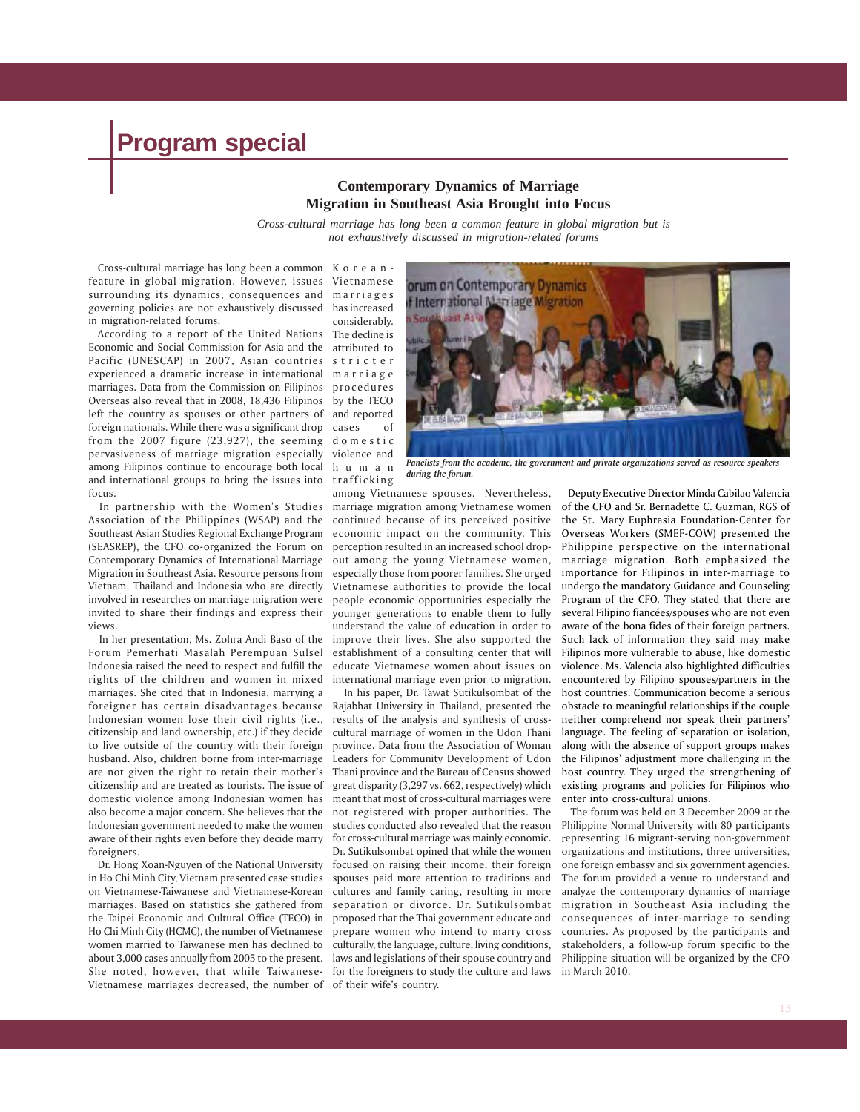#### **Contemporary Dynamics of Marriage Migration in Southeast Asia Brought into Focus**

*Cross-cultural marriage has long been a common feature in global migration but is not exhaustively discussed in migration-related forums*

 Cross-cultural marriage has long been a common Koreanfeature in global migration. However, issues surrounding its dynamics, consequences and governing policies are not exhaustively discussed in migration-related forums.

 According to a report of the United Nations Economic and Social Commission for Asia and the attributed to Pacific (UNESCAP) in 2007, Asian countries experienced a dramatic increase in international marriages. Data from the Commission on Filipinos Overseas also reveal that in 2008, 18,436 Filipinos left the country as spouses or other partners of foreign nationals. While there was a significant drop from the 2007 figure (23,927), the seeming pervasiveness of marriage migration especially among Filipinos continue to encourage both local and international groups to bring the issues into focus.

 In partnership with the Women's Studies Association of the Philippines (WSAP) and the Southeast Asian Studies Regional Exchange Program (SEASREP), the CFO co-organized the Forum on Contemporary Dynamics of International Marriage Migration in Southeast Asia. Resource persons from Vietnam, Thailand and Indonesia who are directly involved in researches on marriage migration were invited to share their findings and express their views.

 In her presentation, Ms. Zohra Andi Baso of the Forum Pemerhati Masalah Perempuan Sulsel Indonesia raised the need to respect and fulfill the rights of the children and women in mixed marriages. She cited that in Indonesia, marrying a foreigner has certain disadvantages because Indonesian women lose their civil rights (i.e., citizenship and land ownership, etc.) if they decide to live outside of the country with their foreign husband. Also, children borne from inter-marriage are not given the right to retain their mother's citizenship and are treated as tourists. The issue of domestic violence among Indonesian women has also become a major concern. She believes that the Indonesian government needed to make the women aware of their rights even before they decide marry foreigners.

 Dr. Hong Xoan-Nguyen of the National University in Ho Chi Minh City, Vietnam presented case studies on Vietnamese-Taiwanese and Vietnamese-Korean marriages. Based on statistics she gathered from the Taipei Economic and Cultural Office (TECO) in Ho Chi Minh City (HCMC), the number of Vietnamese women married to Taiwanese men has declined to about 3,000 cases annually from 2005 to the present. She noted, however, that while Taiwanese-Vietnamese marriages decreased, the number of of their wife's country.

Vietnamese marriages has increased considerably. The decline is stricter marriage procedures by the TECO and reported cases of domestic violence and human trafficking



*Panelists from the academe, the government and private organizations served as resource speakers during the forum.*

among Vietnamese spouses. Nevertheless, marriage migration among Vietnamese women continued because of its perceived positive economic impact on the community. This perception resulted in an increased school dropout among the young Vietnamese women, especially those from poorer families. She urged Vietnamese authorities to provide the local people economic opportunities especially the younger generations to enable them to fully understand the value of education in order to improve their lives. She also supported the establishment of a consulting center that will educate Vietnamese women about issues on international marriage even prior to migration.

 In his paper, Dr. Tawat Sutikulsombat of the Rajabhat University in Thailand, presented the results of the analysis and synthesis of crosscultural marriage of women in the Udon Thani province. Data from the Association of Woman Leaders for Community Development of Udon Thani province and the Bureau of Census showed great disparity (3,297 vs. 662, respectively) which meant that most of cross-cultural marriages were not registered with proper authorities. The studies conducted also revealed that the reason for cross-cultural marriage was mainly economic. Dr. Sutikulsombat opined that while the women focused on raising their income, their foreign spouses paid more attention to traditions and cultures and family caring, resulting in more separation or divorce. Dr. Sutikulsombat proposed that the Thai government educate and prepare women who intend to marry cross culturally, the language, culture, living conditions, laws and legislations of their spouse country and for the foreigners to study the culture and laws

Deputy Executive Director Minda Cabilao Valencia of the CFO and Sr. Bernadette C. Guzman, RGS of the St. Mary Euphrasia Foundation-Center for Overseas Workers (SMEF-COW) presented the Philippine perspective on the international marriage migration. Both emphasized the importance for Filipinos in inter-marriage to undergo the mandatory Guidance and Counseling Program of the CFO. They stated that there are several Filipino fiancées/spouses who are not even aware of the bona fides of their foreign partners. Such lack of information they said may make Filipinos more vulnerable to abuse, like domestic violence. Ms. Valencia also highlighted difficulties encountered by Filipino spouses/partners in the host countries. Communication become a serious obstacle to meaningful relationships if the couple neither comprehend nor speak their partners' language. The feeling of separation or isolation, along with the absence of support groups makes the Filipinos' adjustment more challenging in the host country. They urged the strengthening of existing programs and policies for Filipinos who enter into cross-cultural unions.

 The forum was held on 3 December 2009 at the Philippine Normal University with 80 participants representing 16 migrant-serving non-government organizations and institutions, three universities, one foreign embassy and six government agencies. The forum provided a venue to understand and analyze the contemporary dynamics of marriage migration in Southeast Asia including the consequences of inter-marriage to sending countries. As proposed by the participants and stakeholders, a follow-up forum specific to the Philippine situation will be organized by the CFO in March 2010.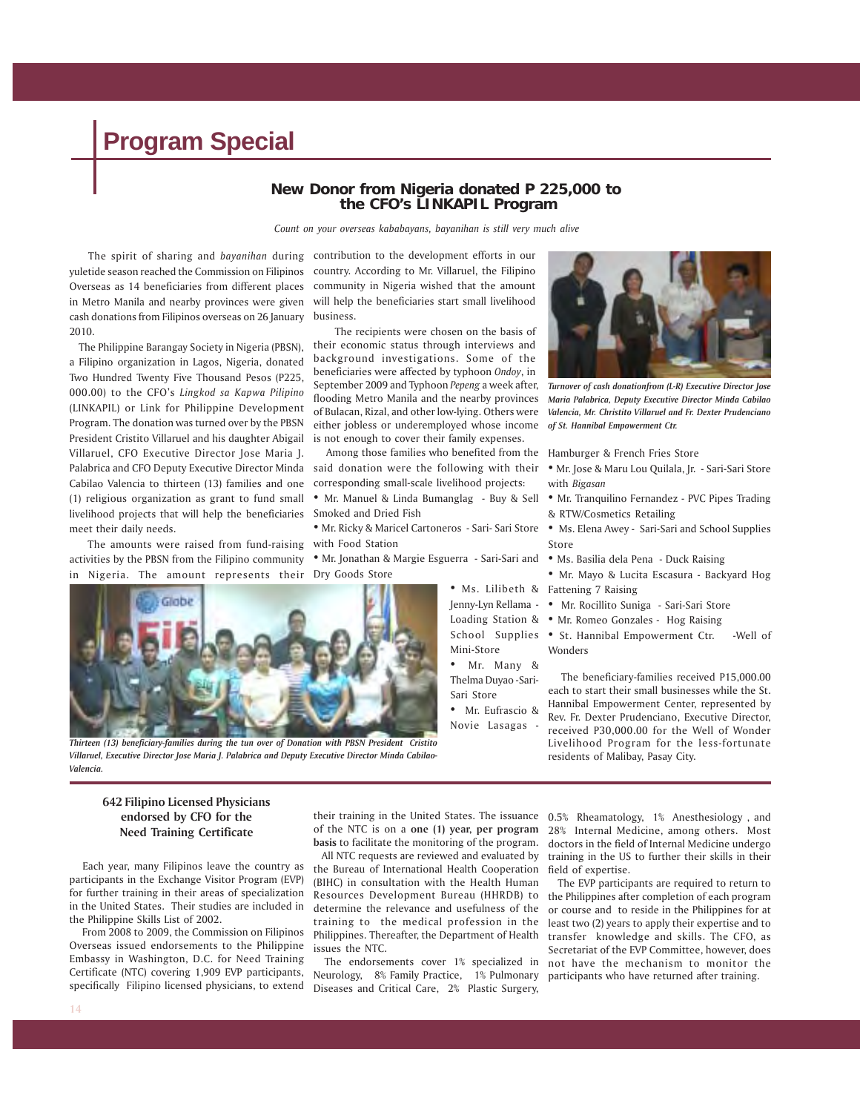#### **New Donor from Nigeria donated P 225,000 to the CFO's LINKAPIL Program**

*Count on your overseas kababayans, bayanihan is still very much alive*

 The spirit of sharing and *bayanihan* during yuletide season reached the Commission on Filipinos Overseas as 14 beneficiaries from different places in Metro Manila and nearby provinces were given cash donations from Filipinos overseas on 26 January 2010.

 The Philippine Barangay Society in Nigeria (PBSN), a Filipino organization in Lagos, Nigeria, donated Two Hundred Twenty Five Thousand Pesos (P225, 000.00) to the CFO's *Lingkod sa Kapwa Pilipino* (LINKAPIL) or Link for Philippine Development Program. The donation was turned over by the PBSN President Cristito Villaruel and his daughter Abigail Villaruel, CFO Executive Director Jose Maria J. Palabrica and CFO Deputy Executive Director Minda Cabilao Valencia to thirteen (13) families and one (1) religious organization as grant to fund small livelihood projects that will help the beneficiaries Smoked and Dried Fish meet their daily needs.

 The amounts were raised from fund-raising activities by the PBSN from the Filipino community in Nigeria. The amount represents their

contribution to the development efforts in our country. According to Mr. Villaruel, the Filipino community in Nigeria wished that the amount will help the beneficiaries start small livelihood business.

 The recipients were chosen on the basis of their economic status through interviews and background investigations. Some of the beneficiaries were affected by typhoon *Ondoy*, in September 2009 and Typhoon *Pepeng* a week after, flooding Metro Manila and the nearby provinces of Bulacan, Rizal, and other low-lying. Others were either jobless or underemployed whose income is not enough to cover their family expenses.

 Among those families who benefited from the said donation were the following with their corresponding small-scale livelihood projects:

- Mr. Manuel & Linda Bumanglag Buy & Sell
- with Food Station
- Mr. Jonathan & Margie Esguerra Sari-Sari and Dry Goods Store



*Thirteen (13) beneficiary-families during the tun over of Donation with PBSN President Cristito Villaruel, Executive Director Jose Maria J. Palabrica and Deputy Executive Director Minda Cabilao-Valencia.*



*Turnover of cash donationfrom (L-R) Executive Director Jose Maria Palabrica, Deputy Executive Director Minda Cabilao Valencia, Mr. Christito Villaruel and Fr. Dexter Prudenciano of St. Hannibal Empowerment Ctr.*

Hamburger & French Fries Store

- Mr. Jose & Maru Lou Quilala, Jr. Sari-Sari Store with *Bigasan*
- Mr. Tranquilino Fernandez PVC Pipes Trading & RTW/Cosmetics Retailing
- Mr. Ricky & Maricel Cartoneros Sari- Sari Store Ms. Elena Awey Sari-Sari and School Supplies Store
	- Ms. Basilia dela Pena Duck Raising
	- Ms. Lilibeth & Fattening 7 Raising • Mr. Mayo & Lucita Escasura - Backyard Hog
	- Jenny-Lyn Rellama • Mr. Rocillito Suniga Sari-Sari Store
	- Loading Station & Mr. Romeo Gonzales Hog Raising
	- School Supplies St. Hannibal Empowerment Ctr. -Well of Wonders

• Mr. Many & Thelma Duyao -Sari-Sari Store • Mr. Eufrascio &

Mini-Store

Novie Lasagas -

 The beneficiary-families received P15,000.00 each to start their small businesses while the St. Hannibal Empowerment Center, represented by Rev. Fr. Dexter Prudenciano, Executive Director, received P30,000.00 for the Well of Wonder Livelihood Program for the less-fortunate residents of Malibay, Pasay City.

#### **642 Filipino Licensed Physicians endorsed by CFO for the Need Training Certificate**

 Each year, many Filipinos leave the country as participants in the Exchange Visitor Program (EVP) for further training in their areas of specialization in the United States. Their studies are included in the Philippine Skills List of 2002.

 From 2008 to 2009, the Commission on Filipinos Overseas issued endorsements to the Philippine Embassy in Washington, D.C. for Need Training Certificate (NTC) covering 1,909 EVP participants, specifically Filipino licensed physicians, to extend

their training in the United States. The issuance 0.5% Rheamatology, 1% Anesthesiology , and of the NTC is on a **one (1) year, per program basis** to facilitate the monitoring of the program.

 All NTC requests are reviewed and evaluated by the Bureau of International Health Cooperation (BIHC) in consultation with the Health Human Resources Development Bureau (HHRDB) to determine the relevance and usefulness of the training to the medical profession in the Philippines. Thereafter, the Department of Health issues the NTC.

 The endorsements cover 1% specialized in Neurology, 8% Family Practice, 1% Pulmonary Diseases and Critical Care, 2% Plastic Surgery,

28% Internal Medicine, among others. Most doctors in the field of Internal Medicine undergo training in the US to further their skills in their field of expertise.

 The EVP participants are required to return to the Philippines after completion of each program or course and to reside in the Philippines for at least two (2) years to apply their expertise and to transfer knowledge and skills. The CFO, as Secretariat of the EVP Committee, however, does not have the mechanism to monitor the participants who have returned after training.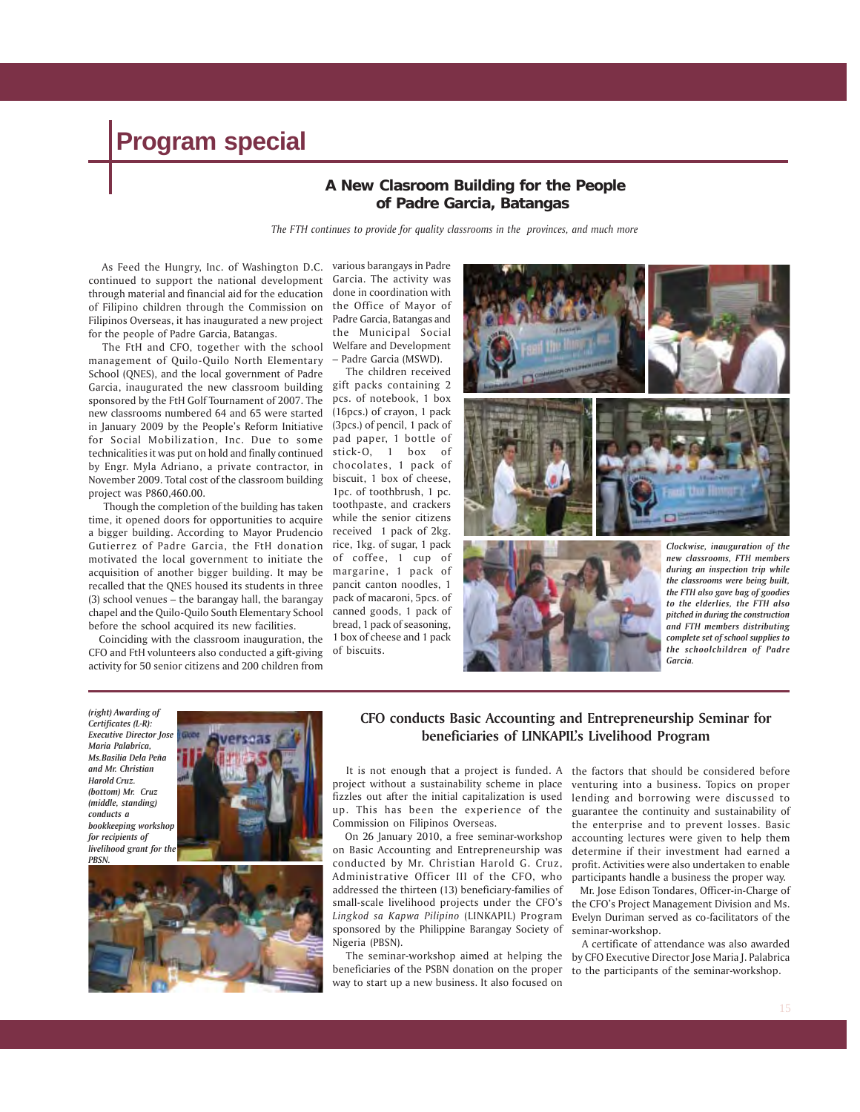#### **A New Clasroom Building for the People of Padre Garcia, Batangas**

*The FTH continues to provide for quality classrooms in the provinces, and much more*

 As Feed the Hungry, Inc. of Washington D.C. continued to support the national development through material and financial aid for the education of Filipino children through the Commission on Filipinos Overseas, it has inaugurated a new project Padre Garcia, Batangas and for the people of Padre Garcia, Batangas.

 The FtH and CFO, together with the school management of Quilo-Quilo North Elementary School (QNES), and the local government of Padre Garcia, inaugurated the new classroom building gift packs containing 2 sponsored by the FtH Golf Tournament of 2007. The pcs. of notebook, 1 box new classrooms numbered 64 and 65 were started in January 2009 by the People's Reform Initiative for Social Mobilization, Inc. Due to some technicalities it was put on hold and finally continued by Engr. Myla Adriano, a private contractor, in November 2009. Total cost of the classroom building project was P860,460.00.

 Though the completion of the building has taken time, it opened doors for opportunities to acquire a bigger building. According to Mayor Prudencio Gutierrez of Padre Garcia, the FtH donation motivated the local government to initiate the acquisition of another bigger building. It may be recalled that the QNES housed its students in three (3) school venues – the barangay hall, the barangay chapel and the Quilo-Quilo South Elementary School before the school acquired its new facilities.

 Coinciding with the classroom inauguration, the CFO and FtH volunteers also conducted a gift-giving activity for 50 senior citizens and 200 children from

various barangays in Padre Garcia. The activity was done in coordination with the Office of Mayor of the Municipal Social Welfare and Development – Padre Garcia (MSWD).

 The children received (16pcs.) of crayon, 1 pack (3pcs.) of pencil, 1 pack of pad paper, 1 bottle of stick-O, 1 box of chocolates, 1 pack of biscuit, 1 box of cheese, 1pc. of toothbrush, 1 pc. toothpaste, and crackers while the senior citizens received 1 pack of 2kg. rice, 1kg. of sugar, 1 pack of coffee, 1 cup of margarine, 1 pack of pancit canton noodles, 1 pack of macaroni, 5pcs. of canned goods, 1 pack of bread, 1 pack of seasoning, 1 box of cheese and 1 pack of biscuits.



*Certificates (L-R): Executive Director Jose Maria Palabrica, Ms.Basilia Dela Peña and Mr. Christian Harold Cruz. (bottom) Mr. Cruz (middle, standing) conducts a bookkeeping workshop for recipients of livelihood grant for the PBSN.*

*(right) Awarding of*





#### **CFO conducts Basic Accounting and Entrepreneurship Seminar for beneficiaries of LINKAPIL's Livelihood Program**

It is not enough that a project is funded. A the factors that should be considered before project without a sustainability scheme in place fizzles out after the initial capitalization is used up. This has been the experience of the Commission on Filipinos Overseas.

 On 26 January 2010, a free seminar-workshop on Basic Accounting and Entrepreneurship was conducted by Mr. Christian Harold G. Cruz, Administrative Officer III of the CFO, who addressed the thirteen (13) beneficiary-families of small-scale livelihood projects under the CFO's *Lingkod sa Kapwa Pilipino* (LINKAPIL) Program sponsored by the Philippine Barangay Society of Nigeria (PBSN).

beneficiaries of the PSBN donation on the proper way to start up a new business. It also focused on

venturing into a business. Topics on proper lending and borrowing were discussed to guarantee the continuity and sustainability of the enterprise and to prevent losses. Basic accounting lectures were given to help them determine if their investment had earned a profit. Activities were also undertaken to enable participants handle a business the proper way.

*Garcia.*

*the schoolchildren of Padre*

 Mr. Jose Edison Tondares, Officer-in-Charge of the CFO's Project Management Division and Ms. Evelyn Duriman served as co-facilitators of the seminar-workshop.

 The seminar-workshop aimed at helping the by CFO Executive Director Jose Maria J. Palabrica A certificate of attendance was also awarded to the participants of the seminar-workshop.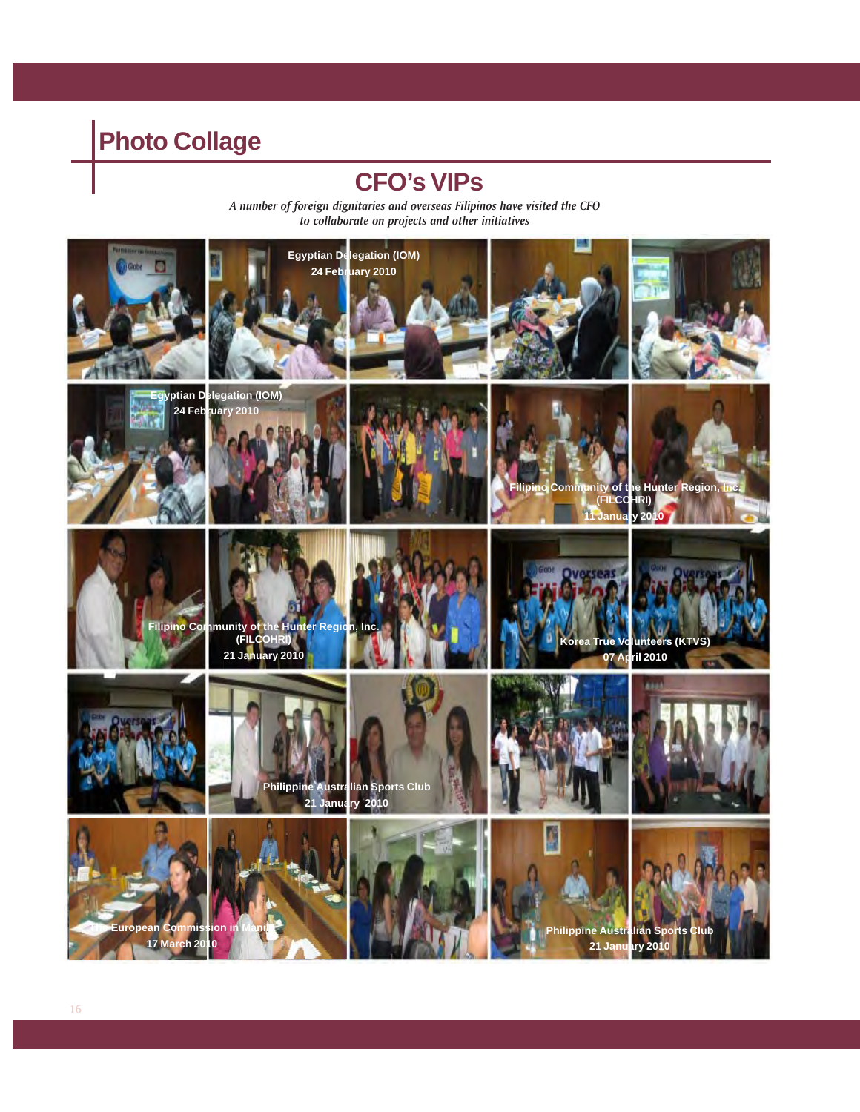## **Photo Collage**

### **CFO's VIPs**

*A number of foreign dignitaries and overseas Filipinos have visited the CFO to collaborate on projects and other initiatives*

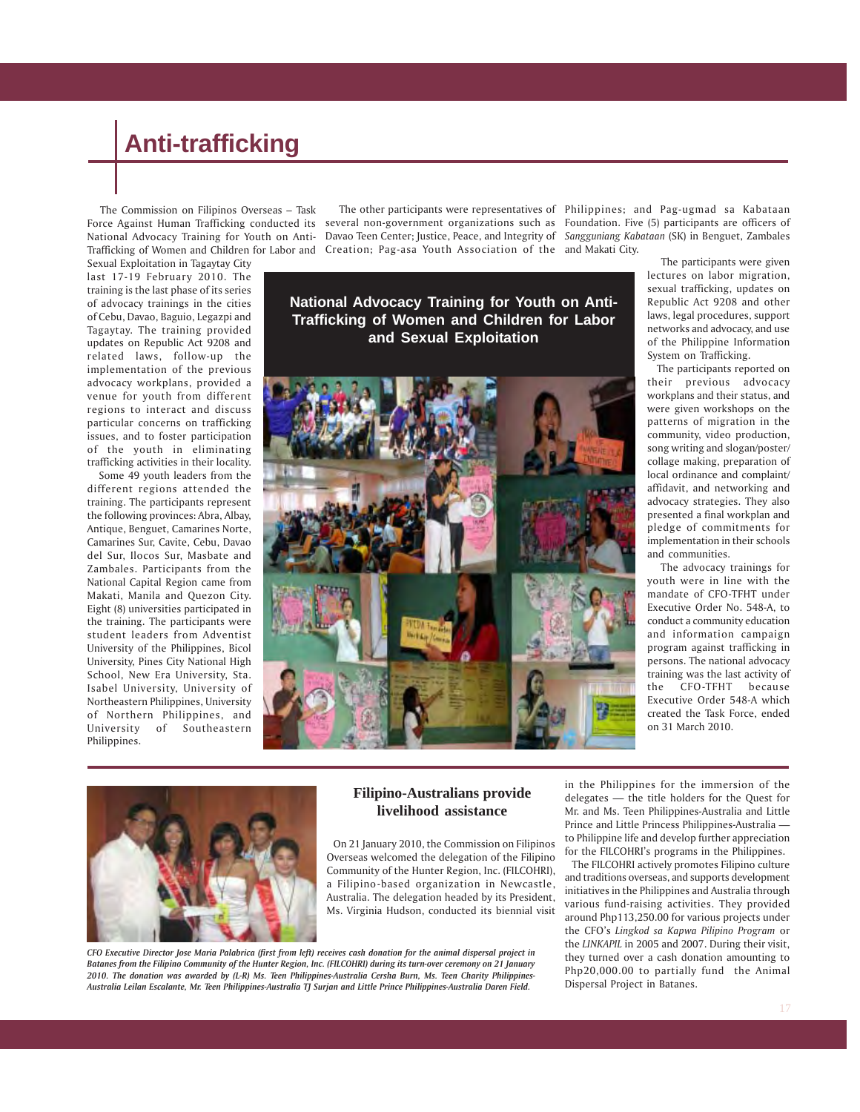The Commission on Filipinos Overseas – Task

Sexual Exploitation in Tagaytay City last 17-19 February 2010. The training is the last phase of its series of advocacy trainings in the cities of Cebu, Davao, Baguio, Legazpi and Tagaytay. The training provided updates on Republic Act 9208 and related laws, follow-up the implementation of the previous advocacy workplans, provided a venue for youth from different regions to interact and discuss particular concerns on trafficking issues, and to foster participation of the youth in eliminating trafficking activities in their locality.

 Some 49 youth leaders from the different regions attended the training. The participants represent the following provinces: Abra, Albay, Antique, Benguet, Camarines Norte, Camarines Sur, Cavite, Cebu, Davao del Sur, Ilocos Sur, Masbate and Zambales. Participants from the National Capital Region came from Makati, Manila and Quezon City. Eight (8) universities participated in the training. The participants were student leaders from Adventist University of the Philippines, Bicol University, Pines City National High School, New Era University, Sta. Isabel University, University of Northeastern Philippines, University of Northern Philippines, and<br>University of Southeastern of Southeastern Philippines.

Force Against Human Trafficking conducted its) several non-government organizations such as) Foundation. Five (5) participants are officers of National Advocacy Training for Youth on Anti-Davao Teen Center; Justice, Peace, and Integrity of *Sangguniang Kabataan* (SK) in Benguet, Zambales Trafficking of Women and Children for Labor and Creation; Pag-asa Youth Association of the and Makati City. The other participants were representatives of Philippines; and Pag-ugmad sa Kabataan

> **National Advocacy Training for Youth on Anti-Trafficking of Women and Children for Labor and Sexual Exploitation**



 The participants were given lectures on labor migration, sexual trafficking, updates on Republic Act 9208 and other laws, legal procedures, support networks and advocacy, and use of the Philippine Information System on Trafficking.

 The participants reported on their previous advocacy workplans and their status, and were given workshops on the patterns of migration in the community, video production, song writing and slogan/poster/ collage making, preparation of local ordinance and complaint/ affidavit, and networking and advocacy strategies. They also presented a final workplan and pledge of commitments for implementation in their schools and communities.

 The advocacy trainings for youth were in line with the mandate of CFO-TFHT under Executive Order No. 548-A, to conduct a community education and information campaign program against trafficking in persons. The national advocacy training was the last activity of the CFO-TFHT because Executive Order 548-A which created the Task Force, ended on 31 March 2010.



#### **Filipino-Australians provide livelihood assistance**

 On 21 January 2010, the Commission on Filipinos Overseas welcomed the delegation of the Filipino Community of the Hunter Region, Inc. (FILCOHRI), a Filipino-based organization in Newcastle, Australia. The delegation headed by its President, Ms. Virginia Hudson, conducted its biennial visit

*CFO Executive Director Jose Maria Palabrica (first from left) receives cash donation for the animal dispersal project in Batanes from the Filipino Community of the Hunter Region, Inc. (FILCOHRI) during its turn-over ceremony on 21 January 2010. The donation was awarded by (L-R) Ms. Teen Philippines-Australia Cersha Burn, Ms. Teen Charity Philippines-*

*Australia Leilan Escalante, Mr. Teen Philippines-Australia TJ Surjan and Little Prince Philippines-Australia Daren Field.*

in the Philippines for the immersion of the delegates — the title holders for the Quest for Mr. and Ms. Teen Philippines-Australia and Little Prince and Little Princess Philippines-Australia to Philippine life and develop further appreciation for the FILCOHRI's programs in the Philippines.

 The FILCOHRI actively promotes Filipino culture and traditions overseas, and supports development initiatives in the Philippines and Australia through various fund-raising activities. They provided around Php113,250.00 for various projects under the CFO's *Lingkod sa Kapwa Pilipino Program* or the *LINKAPIL* in 2005 and 2007. During their visit, they turned over a cash donation amounting to Php20,000.00 to partially fund the Animal Dispersal Project in Batanes.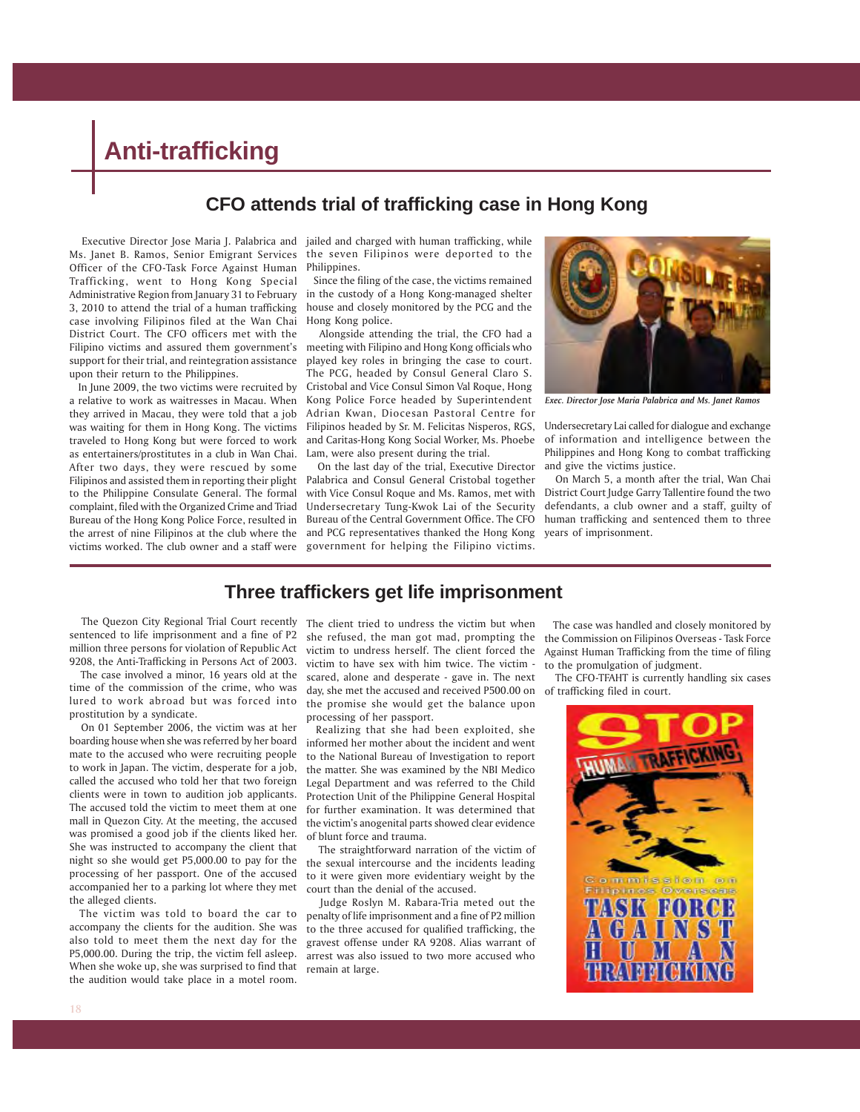### **CFO attends trial of trafficking case in Hong Kong**

 Executive Director Jose Maria J. Palabrica and jailed and charged with human trafficking, while Ms. Janet B. Ramos, Senior Emigrant Services Officer of the CFO-Task Force Against Human Trafficking, went to Hong Kong Special Administrative Region from January 31 to February 3, 2010 to attend the trial of a human trafficking case involving Filipinos filed at the Wan Chai District Court. The CFO officers met with the Filipino victims and assured them government's support for their trial, and reintegration assistance upon their return to the Philippines.

 In June 2009, the two victims were recruited by a relative to work as waitresses in Macau. When they arrived in Macau, they were told that a job was waiting for them in Hong Kong. The victims traveled to Hong Kong but were forced to work as entertainers/prostitutes in a club in Wan Chai. After two days, they were rescued by some Filipinos and assisted them in reporting their plight to the Philippine Consulate General. The formal complaint, filed with the Organized Crime and Triad Bureau of the Hong Kong Police Force, resulted in the arrest of nine Filipinos at the club where the victims worked. The club owner and a staff were

the seven Filipinos were deported to the Philippines.

 Since the filing of the case, the victims remained in the custody of a Hong Kong-managed shelter house and closely monitored by the PCG and the Hong Kong police.

 Alongside attending the trial, the CFO had a meeting with Filipino and Hong Kong officials who played key roles in bringing the case to court. The PCG, headed by Consul General Claro S. Cristobal and Vice Consul Simon Val Roque, Hong Kong Police Force headed by Superintendent Adrian Kwan, Diocesan Pastoral Centre for Filipinos headed by Sr. M. Felicitas Nisperos, RGS, and Caritas-Hong Kong Social Worker, Ms. Phoebe Lam, were also present during the trial.

 On the last day of the trial, Executive Director Palabrica and Consul General Cristobal together with Vice Consul Roque and Ms. Ramos, met with Undersecretary Tung-Kwok Lai of the Security Bureau of the Central Government Office. The CFO and PCG representatives thanked the Hong Kong government for helping the Filipino victims.



*Exec. Director Jose Maria Palabrica and Ms. Janet Ramos*

Undersecretary Lai called for dialogue and exchange of information and intelligence between the Philippines and Hong Kong to combat trafficking and give the victims justice.

 On March 5, a month after the trial, Wan Chai District Court Judge Garry Tallentire found the two defendants, a club owner and a staff, guilty of human trafficking and sentenced them to three years of imprisonment.

### **Three traffickers get life imprisonment**

 The Quezon City Regional Trial Court recently sentenced to life imprisonment and a fine of P2 million three persons for violation of Republic Act 9208, the Anti-Trafficking in Persons Act of 2003.

 The case involved a minor, 16 years old at the time of the commission of the crime, who was lured to work abroad but was forced into prostitution by a syndicate.

 On 01 September 2006, the victim was at her boarding house when she was referred by her board mate to the accused who were recruiting people to work in Japan. The victim, desperate for a job, called the accused who told her that two foreign clients were in town to audition job applicants. The accused told the victim to meet them at one mall in Quezon City. At the meeting, the accused was promised a good job if the clients liked her. She was instructed to accompany the client that night so she would get P5,000.00 to pay for the processing of her passport. One of the accused accompanied her to a parking lot where they met the alleged clients.

 The victim was told to board the car to accompany the clients for the audition. She was also told to meet them the next day for the P5,000.00. During the trip, the victim fell asleep. When she woke up, she was surprised to find that the audition would take place in a motel room.

The client tried to undress the victim but when she refused, the man got mad, prompting the victim to undress herself. The client forced the Against Human Trafficking from the time of filing victim to have sex with him twice. The victim scared, alone and desperate - gave in. The next day, she met the accused and received P500.00 on the promise she would get the balance upon processing of her passport.

 Realizing that she had been exploited, she informed her mother about the incident and went to the National Bureau of Investigation to report the matter. She was examined by the NBI Medico Legal Department and was referred to the Child Protection Unit of the Philippine General Hospital for further examination. It was determined that the victim's anogenital parts showed clear evidence of blunt force and trauma.

 The straightforward narration of the victim of the sexual intercourse and the incidents leading to it were given more evidentiary weight by the court than the denial of the accused.

 Judge Roslyn M. Rabara-Tria meted out the penalty of life imprisonment and a fine of P2 million to the three accused for qualified trafficking, the gravest offense under RA 9208. Alias warrant of arrest was also issued to two more accused who remain at large.

 The case was handled and closely monitored by the Commission on Filipinos Overseas - Task Force to the promulgation of judgment.

 The CFO-TFAHT is currently handling six cases of trafficking filed in court.

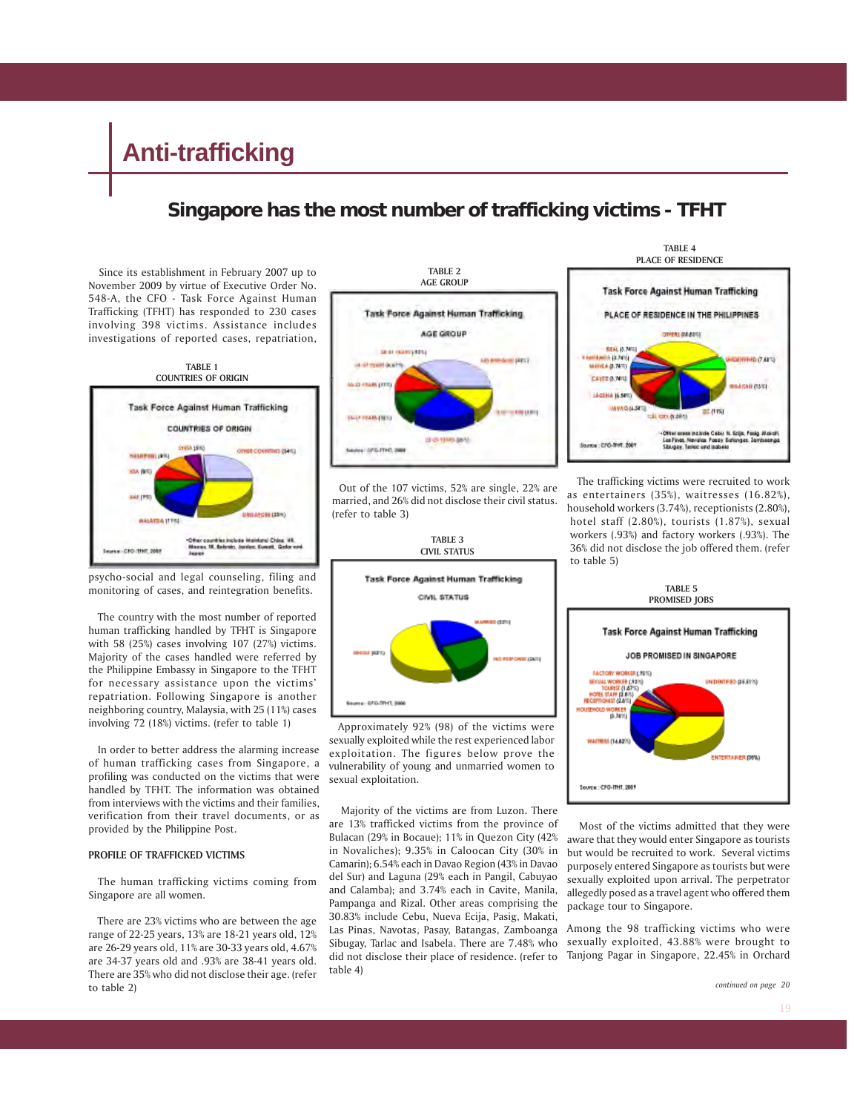### **Singapore has the most number of trafficking victims - TFHT**

 Since its establishment in February 2007 up to November 2009 by virtue of Executive Order No. 548-A, the CFO - Task Force Against Human Trafficking (TFHT) has responded to 230 cases involving 398 victims. Assistance includes investigations of reported cases, repatriation,



psycho-social and legal counseling, filing and monitoring of cases, and reintegration benefits.

 The country with the most number of reported human trafficking handled by TFHT is Singapore with 58 (25%) cases involving 107 (27%) victims. Majority of the cases handled were referred by the Philippine Embassy in Singapore to the TFHT for necessary assistance upon the victims' repatriation. Following Singapore is another neighboring country, Malaysia, with 25 (11%) cases involving 72 (18%) victims. (refer to table 1)

 In order to better address the alarming increase of human trafficking cases from Singapore, a profiling was conducted on the victims that were handled by TFHT. The information was obtained from interviews with the victims and their families, verification from their travel documents, or as provided by the Philippine Post.

#### **PROFILE OF TRAFFICKED VICTIMS**

 The human trafficking victims coming from Singapore are all women.

 There are 23% victims who are between the age range of 22-25 years, 13% are 18-21 years old, 12% are 26-29 years old, 11% are 30-33 years old, 4.67% are 34-37 years old and .93% are 38-41 years old. There are 35% who did not disclose their age. (refer to table 2)



 Out of the 107 victims, 52% are single, 22% are married, and 26% did not disclose their civil status. (refer to table 3)

**TABLE 3**



 Approximately 92% (98) of the victims were sexually exploited while the rest experienced labor exploitation. The figures below prove the vulnerability of young and unmarried women to sexual exploitation.

 Majority of the victims are from Luzon. There are 13% trafficked victims from the province of Bulacan (29% in Bocaue); 11% in Quezon City (42% in Novaliches); 9.35% in Caloocan City (30% in Camarin); 6.54% each in Davao Region (43% in Davao del Sur) and Laguna (29% each in Pangil, Cabuyao and Calamba); and 3.74% each in Cavite, Manila, Pampanga and Rizal. Other areas comprising the 30.83% include Cebu, Nueva Ecija, Pasig, Makati, Las Pinas, Navotas, Pasay, Batangas, Zamboanga Sibugay, Tarlac and Isabela. There are 7.48% who did not disclose their place of residence. (refer to table 4)



 The trafficking victims were recruited to work as entertainers (35%), waitresses (16.82%), household workers (3.74%), receptionists (2.80%), hotel staff (2.80%), tourists (1.87%), sexual workers (.93%) and factory workers (.93%). The 36% did not disclose the job offered them. (refer to table 5)



 Most of the victims admitted that they were aware that they would enter Singapore as tourists but would be recruited to work. Several victims purposely entered Singapore as tourists but were sexually exploited upon arrival. The perpetrator allegedly posed as a travel agent who offered them package tour to Singapore.

Among the 98 trafficking victims who were sexually exploited, 43.88% were brought to Tanjong Pagar in Singapore, 22.45% in Orchard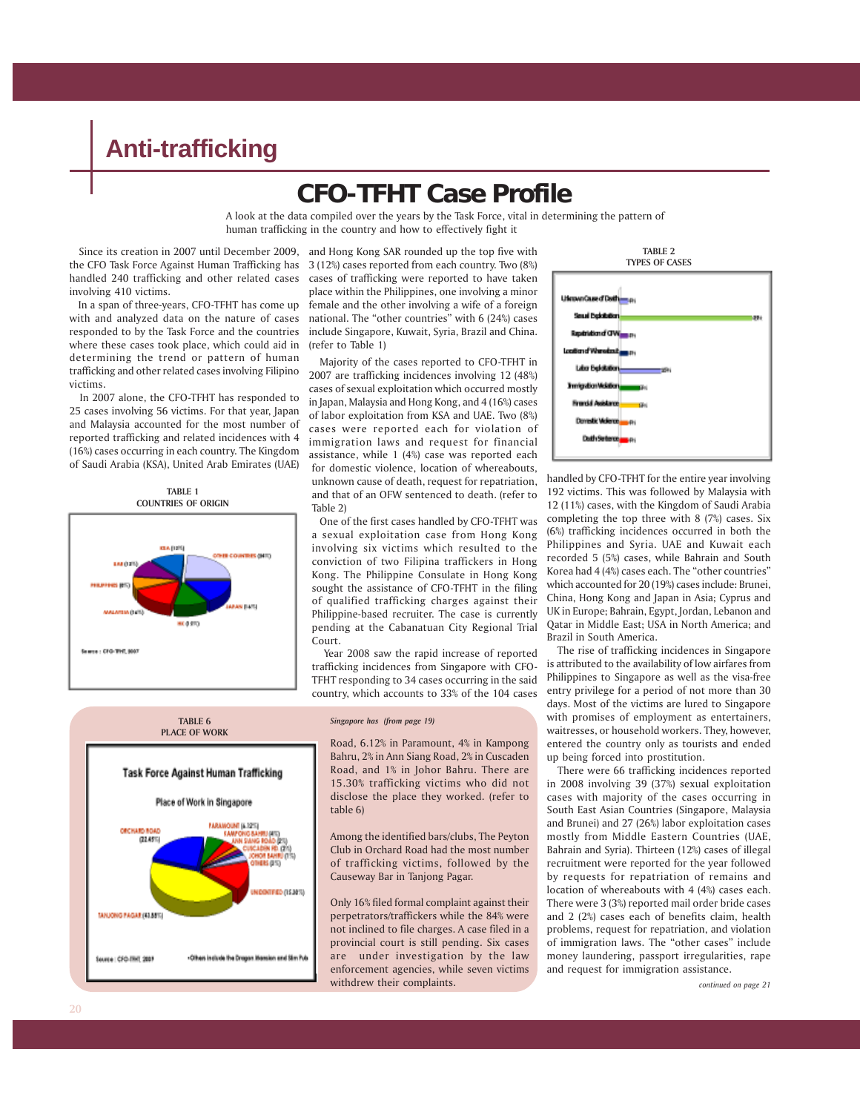### **CFO-TFHT Case Profile**

A look at the data compiled over the years by the Task Force, vital in determining the pattern of human trafficking in the country and how to effectively fight it

 Since its creation in 2007 until December 2009, the CFO Task Force Against Human Trafficking has handled 240 trafficking and other related cases involving 410 victims.

 In a span of three-years, CFO-TFHT has come up with and analyzed data on the nature of cases responded to by the Task Force and the countries where these cases took place, which could aid in determining the trend or pattern of human trafficking and other related cases involving Filipino victims.

 In 2007 alone, the CFO-TFHT has responded to 25 cases involving 56 victims. For that year, Japan and Malaysia accounted for the most number of reported trafficking and related incidences with 4 (16%) cases occurring in each country. The Kingdom of Saudi Arabia (KSA), United Arab Emirates (UAE)





and Hong Kong SAR rounded up the top five with 3 (12%) cases reported from each country. Two (8%) cases of trafficking were reported to have taken place within the Philippines, one involving a minor female and the other involving a wife of a foreign national. The "other countries" with 6 (24%) cases include Singapore, Kuwait, Syria, Brazil and China. (refer to Table 1)

 Majority of the cases reported to CFO-TFHT in 2007 are trafficking incidences involving 12 (48%) cases of sexual exploitation which occurred mostly in Japan, Malaysia and Hong Kong, and 4 (16%) cases of labor exploitation from KSA and UAE. Two (8%) cases were reported each for violation of immigration laws and request for financial assistance, while 1 (4%) case was reported each for domestic violence, location of whereabouts, unknown cause of death, request for repatriation, and that of an OFW sentenced to death. (refer to Table 2)

 One of the first cases handled by CFO-TFHT was a sexual exploitation case from Hong Kong involving six victims which resulted to the conviction of two Filipina traffickers in Hong Kong. The Philippine Consulate in Hong Kong sought the assistance of CFO-TFHT in the filing of qualified trafficking charges against their Philippine-based recruiter. The case is currently pending at the Cabanatuan City Regional Trial Court.

 Year 2008 saw the rapid increase of reported trafficking incidences from Singapore with CFO-TFHT responding to 34 cases occurring in the said country, which accounts to 33% of the 104 cases

*Singapore has (from page 19)*



Among the identified bars/clubs, The Peyton Club in Orchard Road had the most number of trafficking victims, followed by the Causeway Bar in Tanjong Pagar.

Only 16% filed formal complaint against their perpetrators/traffickers while the 84% were not inclined to file charges. A case filed in a provincial court is still pending. Six cases are under investigation by the law enforcement agencies, while seven victims withdrew their complaints.



handled by CFO-TFHT for the entire year involving 192 victims. This was followed by Malaysia with 12 (11%) cases, with the Kingdom of Saudi Arabia completing the top three with 8 (7%) cases. Six (6%) trafficking incidences occurred in both the Philippines and Syria. UAE and Kuwait each recorded 5 (5%) cases, while Bahrain and South Korea had 4 (4%) cases each. The "other countries" which accounted for 20 (19%) cases include: Brunei, China, Hong Kong and Japan in Asia; Cyprus and UK in Europe; Bahrain, Egypt, Jordan, Lebanon and Qatar in Middle East; USA in North America; and Brazil in South America.

 The rise of trafficking incidences in Singapore is attributed to the availability of low airfares from Philippines to Singapore as well as the visa-free entry privilege for a period of not more than 30 days. Most of the victims are lured to Singapore with promises of employment as entertainers, waitresses, or household workers. They, however, entered the country only as tourists and ended up being forced into prostitution.

 There were 66 trafficking incidences reported in 2008 involving 39 (37%) sexual exploitation cases with majority of the cases occurring in South East Asian Countries (Singapore, Malaysia and Brunei) and 27 (26%) labor exploitation cases mostly from Middle Eastern Countries (UAE, Bahrain and Syria). Thirteen (12%) cases of illegal recruitment were reported for the year followed by requests for repatriation of remains and location of whereabouts with 4 (4%) cases each. There were 3 (3%) reported mail order bride cases and 2 (2%) cases each of benefits claim, health problems, request for repatriation, and violation of immigration laws. The "other cases" include money laundering, passport irregularities, rape and request for immigration assistance.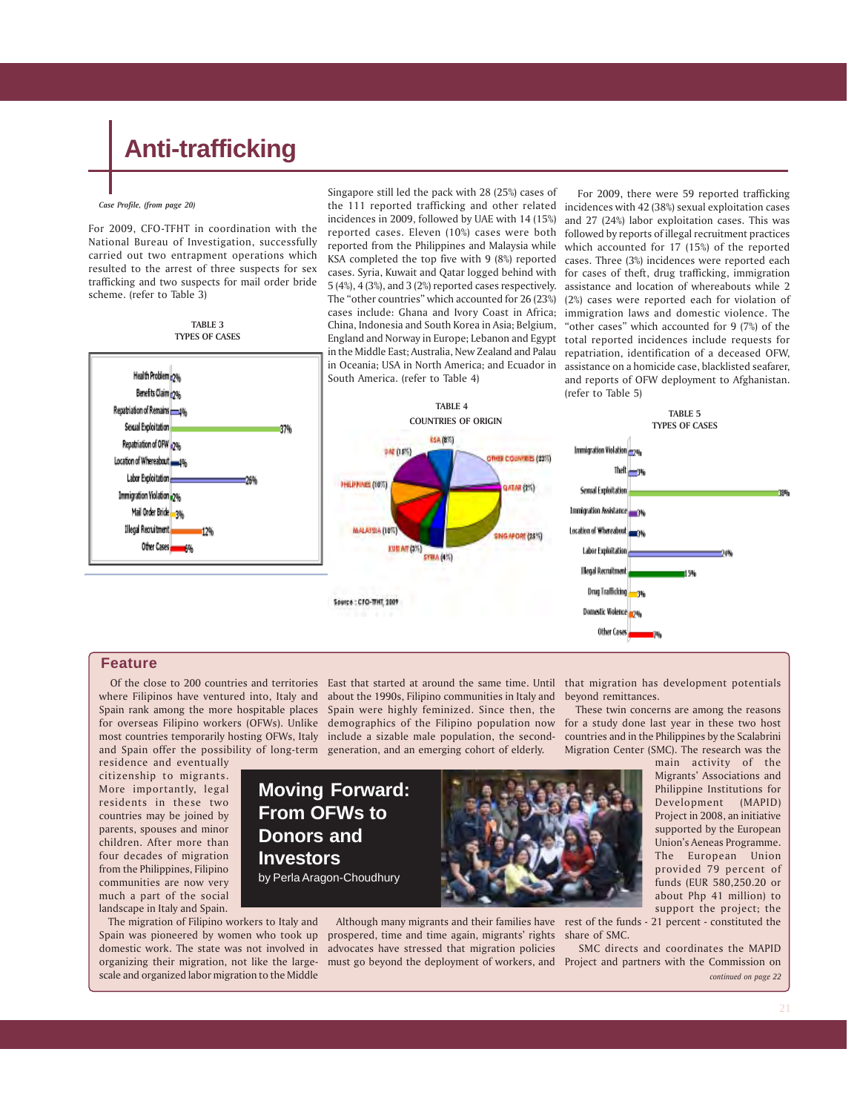*Case Profile, (from page 20)*

For 2009, CFO-TFHT in coordination with the National Bureau of Investigation, successfully carried out two entrapment operations which resulted to the arrest of three suspects for sex trafficking and two suspects for mail order bride scheme. (refer to Table 3)

**TABLE 3**



Singapore still led the pack with 28 (25%) cases of the 111 reported trafficking and other related incidences with 42 (38%) sexual exploitation cases incidences in 2009, followed by UAE with 14 (15%) reported cases. Eleven (10%) cases were both reported from the Philippines and Malaysia while KSA completed the top five with 9 (8%) reported cases. Syria, Kuwait and Qatar logged behind with for cases of theft, drug trafficking, immigration 5 (4%), 4 (3%), and 3 (2%) reported cases respectively. The "other countries" which accounted for 26 (23%) cases include: Ghana and Ivory Coast in Africa; immigration laws and domestic violence. The China, Indonesia and South Korea in Asia; Belgium, England and Norway in Europe; Lebanon and Egypt total reported incidences include requests for in the Middle East; Australia, New Zealand and Palau repatriation, identification of a deceased OFW, in Oceania; USA in North America; and Ecuador in South America. (refer to Table 4)

 For 2009, there were 59 reported trafficking and 27 (24%) labor exploitation cases. This was followed by reports of illegal recruitment practices which accounted for 17 (15%) of the reported cases. Three (3%) incidences were reported each assistance and location of whereabouts while 2 (2%) cases were reported each for violation of "other cases" which accounted for 9 (7%) of the assistance on a homicide case, blacklisted seafarer, and reports of OFW deployment to Afghanistan. (refer to Table 5)



#### **Feature**

residence and eventually citizenship to migrants. More importantly, legal residents in these two countries may be joined by parents, spouses and minor children. After more than four decades of migration from the Philippines, Filipino communities are now very much a part of the social landscape in Italy and Spain.

 The migration of Filipino workers to Italy and Spain was pioneered by women who took up domestic work. The state was not involved in advocates have stressed that migration policies organizing their migration, not like the largescale and organized labor migration to the Middle

**Donors and Investors**

 Of the close to 200 countries and territories East that started at around the same time. Until that migration has development potentials where Filipinos have ventured into, Italy and about the 1990s, Filipino communities in Italy and Spain rank among the more hospitable places Spain were highly feminized. Since then, the for overseas Filipino workers (OFWs). Unlike demographics of the Filipino population now most countries temporarily hosting OFWs, Italy include a sizable male population, the secondand Spain offer the possibility of long-term generation, and an emerging cohort of elderly.

beyond remittances.

 These twin concerns are among the reasons for a study done last year in these two host countries and in the Philippines by the Scalabrini Migration Center (SMC). The research was the

> main activity of the Migrants' Associations and Philippine Institutions for Development (MAPID) Project in 2008, an initiative supported by the European Union's Aeneas Programme. The European Union provided 79 percent of funds (EUR 580,250.20 or about Php 41 million) to support the project; the

 Although many migrants and their families have rest of the funds - 21 percent - constituted the prospered, time and time again, migrants' rights share of SMC.

SMC directs and coordinates the MAPID

must go beyond the deployment of workers, and Project and partners with the Commission on *continued on page 22*

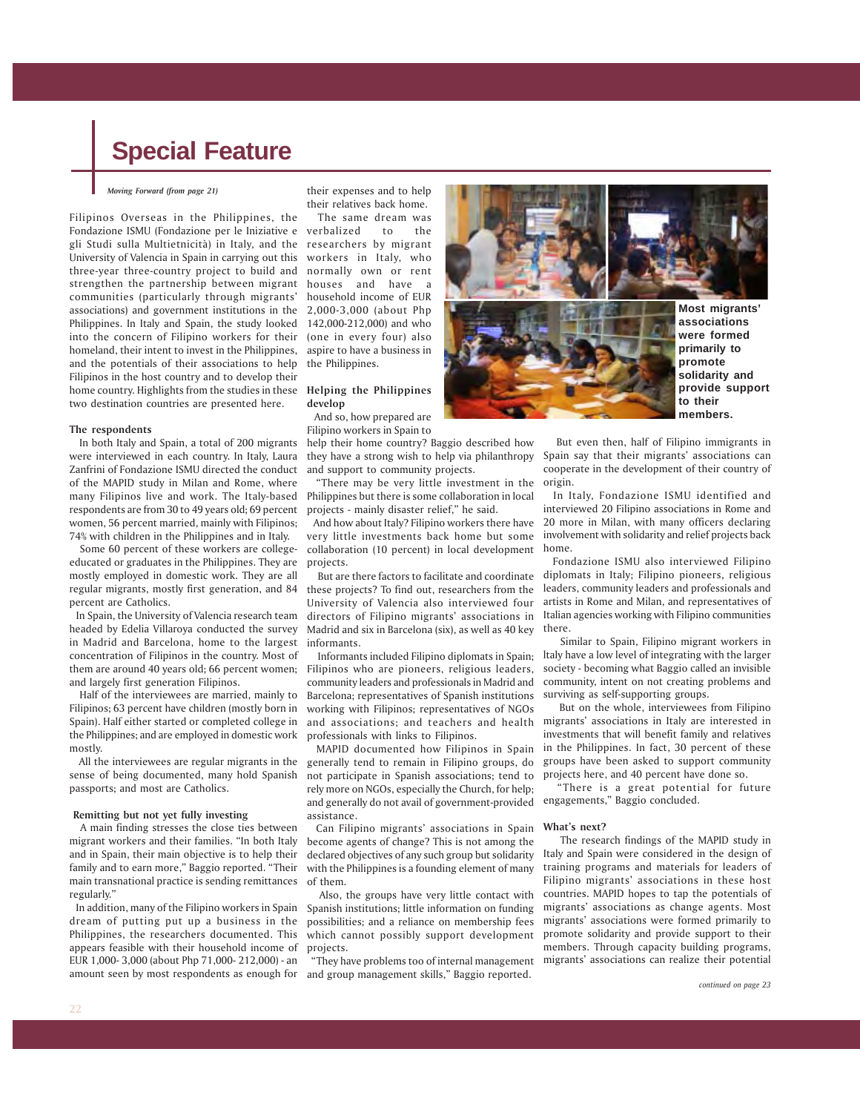#### *Moving Forward (from page 21)*

Filipinos Overseas in the Philippines, the Fondazione ISMU (Fondazione per le Iniziative e verbalized to the gli Studi sulla Multietnicità) in Italy, and the researchers by migrant University of Valencia in Spain in carrying out this workers in Italy, who three-year three-country project to build and normally own or rent strengthen the partnership between migrant houses and have a communities (particularly through migrants' household income of EUR associations) and government institutions in the 2,000-3,000 (about Php Philippines. In Italy and Spain, the study looked 142,000-212,000) and who into the concern of Filipino workers for their (one in every four) also homeland, their intent to invest in the Philippines, aspire to have a business in and the potentials of their associations to help the Philippines. Filipinos in the host country and to develop their home country. Highlights from the studies in these **Helping the Philippines** two destination countries are presented here.

#### **The respondents**

 In both Italy and Spain, a total of 200 migrants were interviewed in each country. In Italy, Laura Zanfrini of Fondazione ISMU directed the conduct of the MAPID study in Milan and Rome, where many Filipinos live and work. The Italy-based respondents are from 30 to 49 years old; 69 percent women, 56 percent married, mainly with Filipinos; 74% with children in the Philippines and in Italy.

 Some 60 percent of these workers are collegeeducated or graduates in the Philippines. They are mostly employed in domestic work. They are all regular migrants, mostly first generation, and 84 percent are Catholics.

 In Spain, the University of Valencia research team headed by Edelia Villaroya conducted the survey in Madrid and Barcelona, home to the largest concentration of Filipinos in the country. Most of them are around 40 years old; 66 percent women; and largely first generation Filipinos.

 Half of the interviewees are married, mainly to Filipinos; 63 percent have children (mostly born in Spain). Half either started or completed college in the Philippines; and are employed in domestic work mostly.

 All the interviewees are regular migrants in the sense of being documented, many hold Spanish passports; and most are Catholics.

#### **Remitting but not yet fully investing**

 A main finding stresses the close ties between migrant workers and their families. "In both Italy and in Spain, their main objective is to help their family and to earn more," Baggio reported. "Their main transnational practice is sending remittances regularly."

 In addition, many of the Filipino workers in Spain dream of putting put up a business in the Philippines, the researchers documented. This appears feasible with their household income of EUR 1,000- 3,000 (about Php 71,000- 212,000) - an amount seen by most respondents as enough for

their expenses and to help their relatives back home.

The same dream was

### **develop**

 And so, how prepared are Filipino workers in Spain to

help their home country? Baggio described how they have a strong wish to help via philanthropy and support to community projects.

 "There may be very little investment in the Philippines but there is some collaboration in local projects - mainly disaster relief," he said.

 And how about Italy? Filipino workers there have very little investments back home but some collaboration (10 percent) in local development projects.

 But are there factors to facilitate and coordinate these projects? To find out, researchers from the University of Valencia also interviewed four directors of Filipino migrants' associations in Madrid and six in Barcelona (six), as well as 40 key informants.

 Informants included Filipino diplomats in Spain; Filipinos who are pioneers, religious leaders, community leaders and professionals in Madrid and Barcelona; representatives of Spanish institutions working with Filipinos; representatives of NGOs and associations; and teachers and health professionals with links to Filipinos.

 MAPID documented how Filipinos in Spain generally tend to remain in Filipino groups, do not participate in Spanish associations; tend to rely more on NGOs, especially the Church, for help; and generally do not avail of government-provided assistance.

 Can Filipino migrants' associations in Spain become agents of change? This is not among the declared objectives of any such group but solidarity with the Philippines is a founding element of many of them.

 Also, the groups have very little contact with Spanish institutions; little information on funding possibilities; and a reliance on membership fees which cannot possibly support development projects.

 "They have problems too of internal management and group management skills," Baggio reported.

**promote to their**

**solidarity and provide support members.**

 But even then, half of Filipino immigrants in Spain say that their migrants' associations can cooperate in the development of their country of origin.

 In Italy, Fondazione ISMU identified and interviewed 20 Filipino associations in Rome and 20 more in Milan, with many officers declaring involvement with solidarity and relief projects back home.

 Fondazione ISMU also interviewed Filipino diplomats in Italy; Filipino pioneers, religious leaders, community leaders and professionals and artists in Rome and Milan, and representatives of Italian agencies working with Filipino communities there.

 Similar to Spain, Filipino migrant workers in ltaly have a low level of integrating with the larger society - becoming what Baggio called an invisible community, intent on not creating problems and surviving as self-supporting groups.

 But on the whole, interviewees from Filipino migrants' associations in Italy are interested in investments that will benefit family and relatives in the Philippines. In fact, 30 percent of these groups have been asked to support community projects here, and 40 percent have done so.

 "There is a great potential for future engagements," Baggio concluded.

#### **What's next?**

 The research findings of the MAPID study in Italy and Spain were considered in the design of training programs and materials for leaders of Filipino migrants' associations in these host countries. MAPID hopes to tap the potentials of migrants' associations as change agents. Most migrants' associations were formed primarily to promote solidarity and provide support to their members. Through capacity building programs, migrants' associations can realize their potential

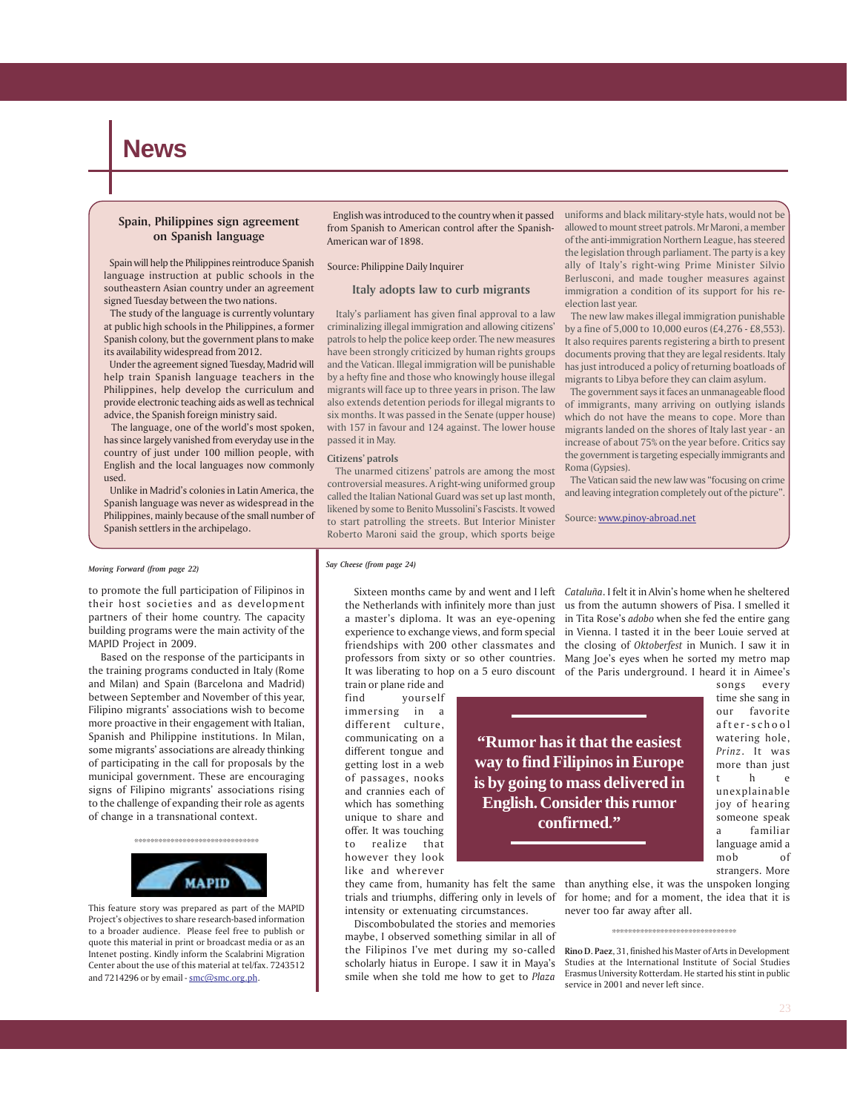### **News**

#### **Spain, Philippines sign agreement on Spanish language**

 Spain will help the Philippines reintroduce Spanish language instruction at public schools in the southeastern Asian country under an agreement signed Tuesday between the two nations.

 The study of the language is currently voluntary at public high schools in the Philippines, a former Spanish colony, but the government plans to make its availability widespread from 2012.

 Under the agreement signed Tuesday, Madrid will help train Spanish language teachers in the Philippines, help develop the curriculum and provide electronic teaching aids as well as technical advice, the Spanish foreign ministry said.

 The language, one of the world's most spoken, has since largely vanished from everyday use in the country of just under 100 million people, with English and the local languages now commonly used.

 Unlike in Madrid's colonies in Latin America, the Spanish language was never as widespread in the Philippines, mainly because of the small number of Spanish settlers in the archipelago.

 English was introduced to the country when it passed from Spanish to American control after the Spanish-American war of 1898.

#### Source: Philippine Daily Inquirer

#### **Italy adopts law to curb migrants**

 Italy's parliament has given final approval to a law criminalizing illegal immigration and allowing citizens' patrols to help the police keep order. The new measures have been strongly criticized by human rights groups and the Vatican. Illegal immigration will be punishable by a hefty fine and those who knowingly house illegal migrants will face up to three years in prison. The law also extends detention periods for illegal migrants to six months. It was passed in the Senate (upper house) with 157 in favour and 124 against. The lower house passed it in May.

#### **Citizens' patrols**

 The unarmed citizens' patrols are among the most controversial measures. A right-wing uniformed group called the Italian National Guard was set up last month, likened by some to Benito Mussolini's Fascists. It vowed to start patrolling the streets. But Interior Minister Roberto Maroni said the group, which sports beige

uniforms and black military-style hats, would not be allowed to mount street patrols. Mr Maroni, a member of the anti-immigration Northern League, has steered the legislation through parliament. The party is a key ally of Italy's right-wing Prime Minister Silvio Berlusconi, and made tougher measures against immigration a condition of its support for his reelection last year.

 The new law makes illegal immigration punishable by a fine of 5,000 to 10,000 euros (£4,276 - £8,553). It also requires parents registering a birth to present documents proving that they are legal residents. Italy has just introduced a policy of returning boatloads of migrants to Libya before they can claim asylum.

 The government says it faces an unmanageable flood of immigrants, many arriving on outlying islands which do not have the means to cope. More than migrants landed on the shores of Italy last year - an increase of about 75% on the year before. Critics say the government is targeting especially immigrants and Roma (Gypsies).

 The Vatican said the new law was "focusing on crime and leaving integration completely out of the picture".

Source: www.pinoy-abroad.net

#### *Say Cheese (from page 24)*

Sixteen months came by and went and I left *Cataluña*. I felt it in Alvin's home when he sheltered

train or plane ride and find yourself immersing in a different culture, communicating on a different tongue and getting lost in a web of passages, nooks and crannies each of which has something unique to share and offer. It was touching to realize that however they look like and wherever

the Netherlands with infinitely more than just us from the autumn showers of Pisa. I smelled it a master's diploma. It was an eye-opening in Tita Rose's *adobo* when she fed the entire gang experience to exchange views, and form special in Vienna. I tasted it in the beer Louie served at friendships with 200 other classmates and the closing of *Oktoberfest* in Munich. I saw it in professors from sixty or so other countries. Mang Joe's eyes when he sorted my metro map It was liberating to hop on a 5 euro discount of the Paris underground. I heard it in Aimee's

> **"Rumor has it that the easiest way to find Filipinos in Europe is by going to mass delivered in English. Consider this rumor confirmed."**

songs every time she sang in our favorite after-school watering hole, *Prinz*. It was more than just t he unexplainable joy of hearing someone speak a familiar language amid a mob of

strangers. More

they came from, humanity has felt the same trials and triumphs, differing only in levels of intensity or extenuating circumstances.

 Discombobulated the stories and memories maybe, I observed something similar in all of the Filipinos I've met during my so-called scholarly hiatus in Europe. I saw it in Maya's smile when she told me how to get to *Plaza*

than anything else, it was the unspoken longing for home; and for a moment, the idea that it is never too far away after all.

**Rino D. Paez**, 31, finished his Master of Arts in Development Studies at the International Institute of Social Studies Erasmus University Rotterdam. He started his stint in public service in 2001 and never left since.

#### *Moving Forward (from page 22)*

to promote the full participation of Filipinos in their host societies and as development partners of their home country. The capacity building programs were the main activity of the MAPID Project in 2009.

 Based on the response of the participants in the training programs conducted in Italy (Rome and Milan) and Spain (Barcelona and Madrid) between September and November of this year, Filipino migrants' associations wish to become more proactive in their engagement with Italian, Spanish and Philippine institutions. In Milan, some migrants' associations are already thinking of participating in the call for proposals by the municipal government. These are encouraging signs of Filipino migrants' associations rising to the challenge of expanding their role as agents of change in a transnational context.

> \*\*\*\*\*\*\*\*\*\*\*\*\*\*\*\*\*\*\*\*\*\*\*\*\*\*\*\*\*\*\* **MAPID**

This feature story was prepared as part of the MAPID Project's objectives to share research-based information to a broader audience. Please feel free to publish or quote this material in print or broadcast media or as an Intenet posting. Kindly inform the Scalabrini Migration Center about the use of this material at tel/fax. 7243512 and 7214296 or by email - smc@smc.org.ph.

<sup>\*\*\*\*\*\*\*\*\*\*\*\*\*\*\*\*\*\*\*\*\*\*\*\*\*\*\*\*\*\*\*</sup>